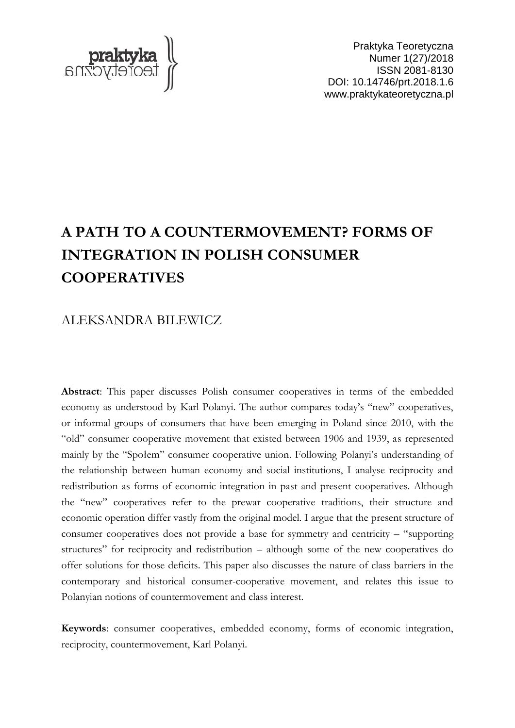

Praktyka Teoretyczna Numer 1(27)/2018 ISSN 2081-8130 DOI: 10.14746/prt.2018.1.6 www.praktykateoretyczna.pl

# **A PATH TO A COUNTERMOVEMENT? FORMS OF INTEGRATION IN POLISH CONSUMER COOPERATIVES**

## ALEKSANDRA BILEWICZ

**Abstract**: This paper discusses Polish consumer cooperatives in terms of the embedded economy as understood by Karl Polanyi. The author compares today's "new" cooperatives, or informal groups of consumers that have been emerging in Poland since 2010, with the "old" consumer cooperative movement that existed between 1906 and 1939, as represented mainly by the "Społem" consumer cooperative union. Following Polanyi's understanding of the relationship between human economy and social institutions, I analyse reciprocity and redistribution as forms of economic integration in past and present cooperatives. Although the "new" cooperatives refer to the prewar cooperative traditions, their structure and economic operation differ vastly from the original model. I argue that the present structure of consumer cooperatives does not provide a base for symmetry and centricity – "supporting structures" for reciprocity and redistribution – although some of the new cooperatives do offer solutions for those deficits. This paper also discusses the nature of class barriers in the contemporary and historical consumer-cooperative movement, and relates this issue to Polanyian notions of countermovement and class interest.

**Keywords**: consumer cooperatives, embedded economy, forms of economic integration, reciprocity, countermovement, Karl Polanyi.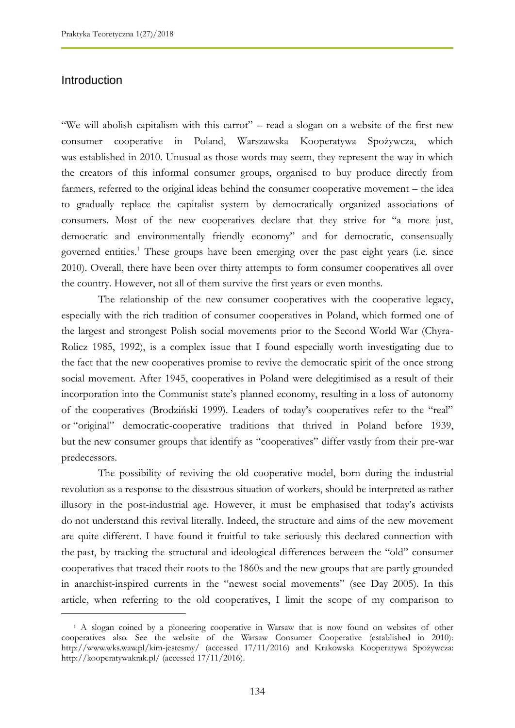## **Introduction**

 $\overline{a}$ 

"We will abolish capitalism with this carrot" – read a slogan on a website of the first new consumer cooperative in Poland, Warszawska Kooperatywa Spożywcza, which was established in 2010. Unusual as those words may seem, they represent the way in which the creators of this informal consumer groups, organised to buy produce directly from farmers, referred to the original ideas behind the consumer cooperative movement – the idea to gradually replace the capitalist system by democratically organized associations of consumers. Most of the new cooperatives declare that they strive for "a more just, democratic and environmentally friendly economy" and for democratic, consensually governed entities.<sup>1</sup> These groups have been emerging over the past eight years (i.e. since 2010). Overall, there have been over thirty attempts to form consumer cooperatives all over the country. However, not all of them survive the first years or even months.

The relationship of the new consumer cooperatives with the cooperative legacy, especially with the rich tradition of consumer cooperatives in Poland, which formed one of the largest and strongest Polish social movements prior to the Second World War (Chyra-Rolicz 1985, 1992), is a complex issue that I found especially worth investigating due to the fact that the new cooperatives promise to revive the democratic spirit of the once strong social movement. After 1945, cooperatives in Poland were delegitimised as a result of their incorporation into the Communist state's planned economy, resulting in a loss of autonomy of the cooperatives (Brodziński 1999). Leaders of today"s cooperatives refer to the "real" or "original" democratic-cooperative traditions that thrived in Poland before 1939, but the new consumer groups that identify as "cooperatives" differ vastly from their pre-war predecessors.

The possibility of reviving the old cooperative model, born during the industrial revolution as a response to the disastrous situation of workers, should be interpreted as rather illusory in the post-industrial age. However, it must be emphasised that today"s activists do not understand this revival literally. Indeed, the structure and aims of the new movement are quite different. I have found it fruitful to take seriously this declared connection with the past, by tracking the structural and ideological differences between the "old" consumer cooperatives that traced their roots to the 1860s and the new groups that are partly grounded in anarchist-inspired currents in the "newest social movements" (see Day 2005). In this article, when referring to the old cooperatives, I limit the scope of my comparison to

<sup>1</sup> A slogan coined by a pioneering cooperative in Warsaw that is now found on websites of other cooperatives also. See the website of the Warsaw Consumer Cooperative (established in 2010): http://www.wks.waw.pl/kim-jestesmy/ (accessed 17/11/2016) and Krakowska Kooperatywa Spożywcza: http://kooperatywakrak.pl/ (accessed 17/11/2016).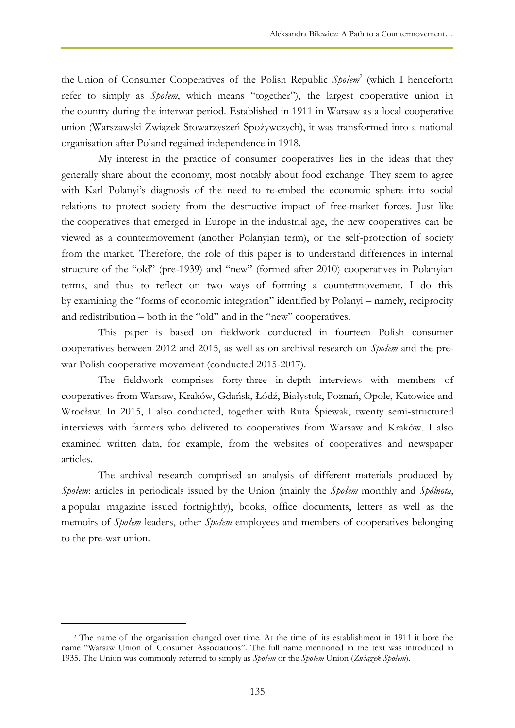the Union of Consumer Cooperatives of the Polish Republic *Społem*<sup>2</sup> (which I henceforth refer to simply as *Społem*, which means "together"), the largest cooperative union in the country during the interwar period. Established in 1911 in Warsaw as a local cooperative union (Warszawski Związek Stowarzyszeń Spożywczych), it was transformed into a national organisation after Poland regained independence in 1918.

My interest in the practice of consumer cooperatives lies in the ideas that they generally share about the economy, most notably about food exchange. They seem to agree with Karl Polanyi's diagnosis of the need to re-embed the economic sphere into social relations to protect society from the destructive impact of free-market forces. Just like the cooperatives that emerged in Europe in the industrial age, the new cooperatives can be viewed as a countermovement (another Polanyian term), or the self-protection of society from the market. Therefore, the role of this paper is to understand differences in internal structure of the "old" (pre-1939) and "new" (formed after 2010) cooperatives in Polanyian terms, and thus to reflect on two ways of forming a countermovement. I do this by examining the "forms of economic integration" identified by Polanyi – namely, reciprocity and redistribution – both in the "old" and in the "new" cooperatives.

This paper is based on fieldwork conducted in fourteen Polish consumer cooperatives between 2012 and 2015, as well as on archival research on *Społem* and the prewar Polish cooperative movement (conducted 2015-2017).

The fieldwork comprises forty-three in-depth interviews with members of cooperatives from Warsaw, Kraków, Gdańsk, Łódź, Białystok, Poznań, Opole, Katowice and Wrocław. In 2015, I also conducted, together with Ruta Śpiewak, twenty semi-structured interviews with farmers who delivered to cooperatives from Warsaw and Kraków. I also examined written data, for example, from the websites of cooperatives and newspaper articles.

The archival research comprised an analysis of different materials produced by *Społem*: articles in periodicals issued by the Union (mainly the *Społem* monthly and *Spólnota*, a popular magazine issued fortnightly), books, office documents, letters as well as the memoirs of *Społem* leaders, other *Społem* employees and members of cooperatives belonging to the pre-war union.

 $\overline{a}$ 

<sup>2</sup> The name of the organisation changed over time. At the time of its establishment in 1911 it bore the name "Warsaw Union of Consumer Associations". The full name mentioned in the text was introduced in 1935. The Union was commonly referred to simply as *Społem* or the *Społem* Union (*Związek Społem*).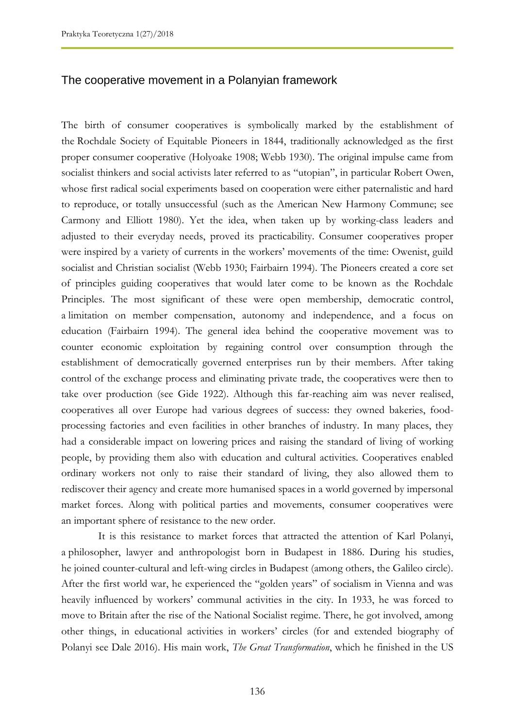## The cooperative movement in a Polanyian framework

The birth of consumer cooperatives is symbolically marked by the establishment of the Rochdale Society of Equitable Pioneers in 1844, traditionally acknowledged as the first proper consumer cooperative (Holyoake 1908; Webb 1930). The original impulse came from socialist thinkers and social activists later referred to as "utopian", in particular Robert Owen, whose first radical social experiments based on cooperation were either paternalistic and hard to reproduce, or totally unsuccessful (such as the American New Harmony Commune; see Carmony and Elliott 1980). Yet the idea, when taken up by working-class leaders and adjusted to their everyday needs, proved its practicability. Consumer cooperatives proper were inspired by a variety of currents in the workers" movements of the time: Owenist, guild socialist and Christian socialist (Webb 1930; Fairbairn 1994). The Pioneers created a core set of principles guiding cooperatives that would later come to be known as the Rochdale Principles. The most significant of these were open membership, democratic control, a limitation on member compensation, autonomy and independence, and a focus on education (Fairbairn 1994). The general idea behind the cooperative movement was to counter economic exploitation by regaining control over consumption through the establishment of democratically governed enterprises run by their members. After taking control of the exchange process and eliminating private trade, the cooperatives were then to take over production (see Gide 1922). Although this far-reaching aim was never realised, cooperatives all over Europe had various degrees of success: they owned bakeries, foodprocessing factories and even facilities in other branches of industry. In many places, they had a considerable impact on lowering prices and raising the standard of living of working people, by providing them also with education and cultural activities. Cooperatives enabled ordinary workers not only to raise their standard of living, they also allowed them to rediscover their agency and create more humanised spaces in a world governed by impersonal market forces. Along with political parties and movements, consumer cooperatives were an important sphere of resistance to the new order.

It is this resistance to market forces that attracted the attention of Karl Polanyi, a philosopher, lawyer and anthropologist born in Budapest in 1886. During his studies, he joined counter-cultural and left-wing circles in Budapest (among others, the Galileo circle). After the first world war, he experienced the "golden years" of socialism in Vienna and was heavily influenced by workers' communal activities in the city. In 1933, he was forced to move to Britain after the rise of the National Socialist regime. There, he got involved, among other things, in educational activities in workers" circles (for and extended biography of Polanyi see Dale 2016). His main work, *The Great Transformation*, which he finished in the US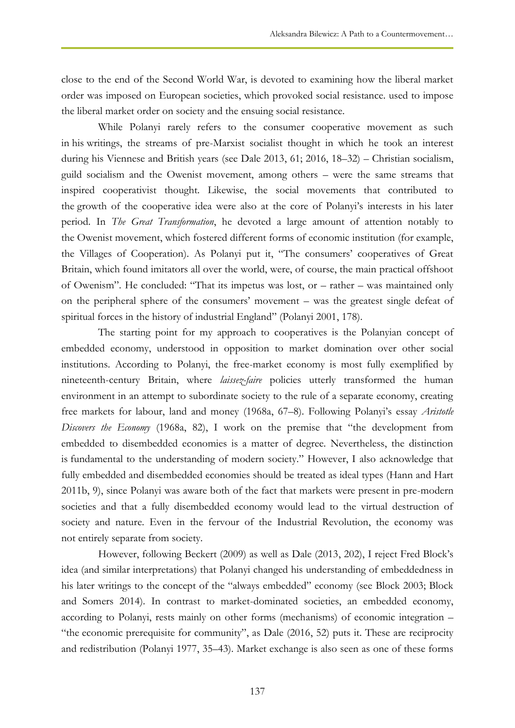close to the end of the Second World War, is devoted to examining how the liberal market order was imposed on European societies, which provoked social resistance. used to impose the liberal market order on society and the ensuing social resistance.

While Polanyi rarely refers to the consumer cooperative movement as such in his writings, the streams of pre-Marxist socialist thought in which he took an interest during his Viennese and British years (see Dale 2013, 61; 2016, 18–32) – Christian socialism, guild socialism and the Owenist movement, among others – were the same streams that inspired cooperativist thought. Likewise, the social movements that contributed to the growth of the cooperative idea were also at the core of Polanyi"s interests in his later period. In *The Great Transformation*, he devoted a large amount of attention notably to the Owenist movement, which fostered different forms of economic institution (for example, the Villages of Cooperation). As Polanyi put it, "The consumers' cooperatives of Great Britain, which found imitators all over the world, were, of course, the main practical offshoot of Owenism". He concluded: "That its impetus was lost, or – rather – was maintained only on the peripheral sphere of the consumers" movement – was the greatest single defeat of spiritual forces in the history of industrial England" (Polanyi 2001, 178).

The starting point for my approach to cooperatives is the Polanyian concept of embedded economy, understood in opposition to market domination over other social institutions. According to Polanyi, the free-market economy is most fully exemplified by nineteenth-century Britain, where *laissez-faire* policies utterly transformed the human environment in an attempt to subordinate society to the rule of a separate economy, creating free markets for labour, land and money (1968a, 67–8). Following Polanyi"s essay *Aristotle Discovers the Economy* (1968a, 82), I work on the premise that "the development from embedded to disembedded economies is a matter of degree. Nevertheless, the distinction is fundamental to the understanding of modern society." However, I also acknowledge that fully embedded and disembedded economies should be treated as ideal types (Hann and Hart 2011b, 9), since Polanyi was aware both of the fact that markets were present in pre-modern societies and that a fully disembedded economy would lead to the virtual destruction of society and nature. Even in the fervour of the Industrial Revolution, the economy was not entirely separate from society.

However, following Beckert (2009) as well as Dale (2013, 202), I reject Fred Block"s idea (and similar interpretations) that Polanyi changed his understanding of embeddedness in his later writings to the concept of the "always embedded" economy (see Block 2003; Block and Somers 2014). In contrast to market-dominated societies, an embedded economy, according to Polanyi, rests mainly on other forms (mechanisms) of economic integration – "the economic prerequisite for community", as Dale (2016, 52) puts it. These are reciprocity and redistribution (Polanyi 1977, 35–43). Market exchange is also seen as one of these forms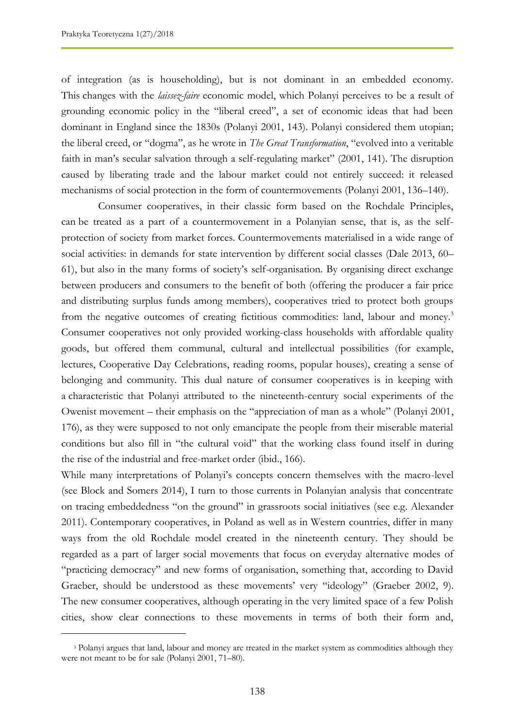$\overline{a}$ 

of integration (as is householding), but is not dominant in an embedded economy. This changes with the *laissez-faire* economic model, which Polanyi perceives to be a result of grounding economic policy in the "liberal creed", a set of economic ideas that had been dominant in England since the 1830s (Polanyi 2001, 143). Polanyi considered them utopian; the liberal creed, or "dogma", as he wrote in *The Great Transformation*, "evolved into a veritable faith in man's secular salvation through a self-regulating market" (2001, 141). The disruption caused by liberating trade and the labour market could not entirely succeed: it released mechanisms of social protection in the form of countermovements (Polanyi 2001, 136–140).

Consumer cooperatives, in their classic form based on the Rochdale Principles, can be treated as a part of a countermovement in a Polanyian sense, that is, as the selfprotection of society from market forces. Countermovements materialised in a wide range of social activities: in demands for state intervention by different social classes (Dale 2013, 60– 61), but also in the many forms of society"s self-organisation. By organising direct exchange between producers and consumers to the benefit of both (offering the producer a fair price and distributing surplus funds among members), cooperatives tried to protect both groups from the negative outcomes of creating fictitious commodities: land, labour and money.<sup>3</sup> Consumer cooperatives not only provided working-class households with affordable quality goods, but offered them communal, cultural and intellectual possibilities (for example, lectures, Cooperative Day Celebrations, reading rooms, popular houses), creating a sense of belonging and community. This dual nature of consumer cooperatives is in keeping with a characteristic that Polanyi attributed to the nineteenth-century social experiments of the Owenist movement – their emphasis on the "appreciation of man as a whole" (Polanyi 2001, 176), as they were supposed to not only emancipate the people from their miserable material conditions but also fill in "the cultural void" that the working class found itself in during the rise of the industrial and free-market order (ibid., 166).

While many interpretations of Polanyi's concepts concern themselves with the macro-level (see Block and Somers 2014), I turn to those currents in Polanyian analysis that concentrate on tracing embeddedness "on the ground" in grassroots social initiatives (see e.g. Alexander 2011). Contemporary cooperatives, in Poland as well as in Western countries, differ in many ways from the old Rochdale model created in the nineteenth century. They should be regarded as a part of larger social movements that focus on everyday alternative modes of "practicing democracy" and new forms of organisation, something that, according to David Graeber, should be understood as these movements' very "ideology" (Graeber 2002, 9). The new consumer cooperatives, although operating in the very limited space of a few Polish cities, show clear connections to these movements in terms of both their form and,

<sup>3</sup> Polanyi argues that land, labour and money are treated in the market system as commodities although they were not meant to be for sale (Polanyi 2001, 71–80).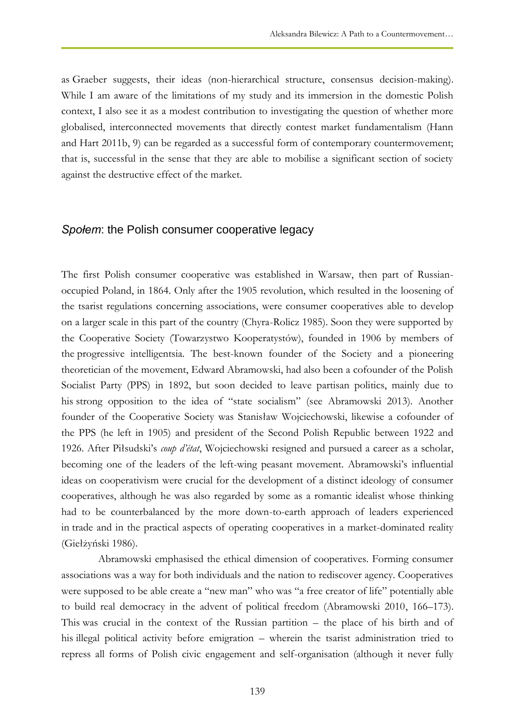as Graeber suggests, their ideas (non-hierarchical structure, consensus decision-making). While I am aware of the limitations of my study and its immersion in the domestic Polish context, I also see it as a modest contribution to investigating the question of whether more globalised, interconnected movements that directly contest market fundamentalism (Hann and Hart 2011b, 9) can be regarded as a successful form of contemporary countermovement; that is, successful in the sense that they are able to mobilise a significant section of society against the destructive effect of the market.

#### *Społem*: the Polish consumer cooperative legacy

The first Polish consumer cooperative was established in Warsaw, then part of Russianoccupied Poland, in 1864. Only after the 1905 revolution, which resulted in the loosening of the tsarist regulations concerning associations, were consumer cooperatives able to develop on a larger scale in this part of the country (Chyra-Rolicz 1985). Soon they were supported by the Cooperative Society (Towarzystwo Kooperatystów), founded in 1906 by members of the progressive intelligentsia. The best-known founder of the Society and a pioneering theoretician of the movement, Edward Abramowski, had also been a cofounder of the Polish Socialist Party (PPS) in 1892, but soon decided to leave partisan politics, mainly due to his strong opposition to the idea of "state socialism" (see Abramowski 2013). Another founder of the Cooperative Society was Stanisław Wojciechowski, likewise a cofounder of the PPS (he left in 1905) and president of the Second Polish Republic between 1922 and 1926. After Piłsudski"s *coup d'état*, Wojciechowski resigned and pursued a career as a scholar, becoming one of the leaders of the left-wing peasant movement. Abramowski's influential ideas on cooperativism were crucial for the development of a distinct ideology of consumer cooperatives, although he was also regarded by some as a romantic idealist whose thinking had to be counterbalanced by the more down-to-earth approach of leaders experienced in trade and in the practical aspects of operating cooperatives in a market-dominated reality (Giełżyński 1986).

Abramowski emphasised the ethical dimension of cooperatives. Forming consumer associations was a way for both individuals and the nation to rediscover agency. Cooperatives were supposed to be able create a "new man" who was "a free creator of life" potentially able to build real democracy in the advent of political freedom (Abramowski 2010, 166–173). This was crucial in the context of the Russian partition – the place of his birth and of his illegal political activity before emigration – wherein the tsarist administration tried to repress all forms of Polish civic engagement and self-organisation (although it never fully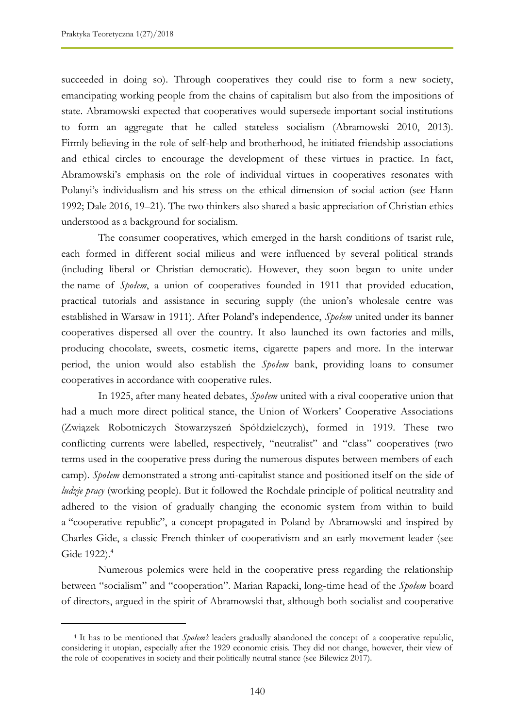$\overline{a}$ 

succeeded in doing so). Through cooperatives they could rise to form a new society, emancipating working people from the chains of capitalism but also from the impositions of state. Abramowski expected that cooperatives would supersede important social institutions to form an aggregate that he called stateless socialism (Abramowski 2010, 2013). Firmly believing in the role of self-help and brotherhood, he initiated friendship associations and ethical circles to encourage the development of these virtues in practice. In fact, Abramowski"s emphasis on the role of individual virtues in cooperatives resonates with Polanyi's individualism and his stress on the ethical dimension of social action (see Hann 1992; Dale 2016, 19–21). The two thinkers also shared a basic appreciation of Christian ethics understood as a background for socialism.

The consumer cooperatives, which emerged in the harsh conditions of tsarist rule, each formed in different social milieus and were influenced by several political strands (including liberal or Christian democratic). However, they soon began to unite under the name of *Społem*, a union of cooperatives founded in 1911 that provided education, practical tutorials and assistance in securing supply (the union"s wholesale centre was established in Warsaw in 1911). After Poland"s independence, *Społem* united under its banner cooperatives dispersed all over the country. It also launched its own factories and mills, producing chocolate, sweets, cosmetic items, cigarette papers and more. In the interwar period, the union would also establish the *Społem* bank, providing loans to consumer cooperatives in accordance with cooperative rules.

In 1925, after many heated debates, *Społem* united with a rival cooperative union that had a much more direct political stance, the Union of Workers' Cooperative Associations (Związek Robotniczych Stowarzyszeń Spółdzielczych), formed in 1919. These two conflicting currents were labelled, respectively, "neutralist" and "class" cooperatives (two terms used in the cooperative press during the numerous disputes between members of each camp). *Społem* demonstrated a strong anti-capitalist stance and positioned itself on the side of *ludzie pracy* (working people). But it followed the Rochdale principle of political neutrality and adhered to the vision of gradually changing the economic system from within to build a "cooperative republic", a concept propagated in Poland by Abramowski and inspired by Charles Gide, a classic French thinker of cooperativism and an early movement leader (see Gide 1922).<sup>4</sup>

Numerous polemics were held in the cooperative press regarding the relationship between "socialism" and "cooperation". Marian Rapacki, long-time head of the *Społem* board of directors, argued in the spirit of Abramowski that, although both socialist and cooperative

<sup>4</sup> It has to be mentioned that *Społem's* leaders gradually abandoned the concept of a cooperative republic, considering it utopian, especially after the 1929 economic crisis. They did not change, however, their view of the role of cooperatives in society and their politically neutral stance (see Bilewicz 2017).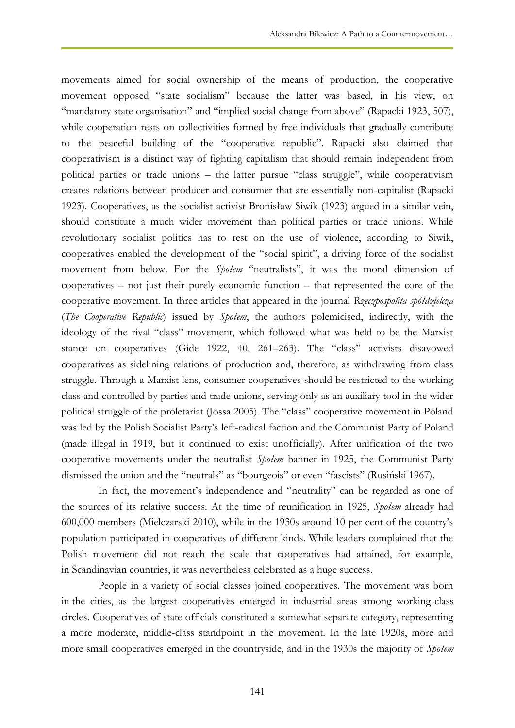movements aimed for social ownership of the means of production, the cooperative movement opposed "state socialism" because the latter was based, in his view, on "mandatory state organisation" and "implied social change from above" (Rapacki 1923, 507), while cooperation rests on collectivities formed by free individuals that gradually contribute to the peaceful building of the "cooperative republic". Rapacki also claimed that cooperativism is a distinct way of fighting capitalism that should remain independent from political parties or trade unions – the latter pursue "class struggle", while cooperativism creates relations between producer and consumer that are essentially non-capitalist (Rapacki 1923). Cooperatives, as the socialist activist Bronisław Siwik (1923) argued in a similar vein, should constitute a much wider movement than political parties or trade unions. While revolutionary socialist politics has to rest on the use of violence, according to Siwik, cooperatives enabled the development of the "social spirit", a driving force of the socialist movement from below. For the *Społem* "neutralists", it was the moral dimension of cooperatives – not just their purely economic function – that represented the core of the cooperative movement. In three articles that appeared in the journal *Rzeczpospolita spółdzielcza* (*The Cooperative Republic*) issued by *Społem*, the authors polemicised, indirectly, with the ideology of the rival "class" movement, which followed what was held to be the Marxist stance on cooperatives (Gide 1922, 40, 261–263). The "class" activists disavowed cooperatives as sidelining relations of production and, therefore, as withdrawing from class struggle. Through a Marxist lens, consumer cooperatives should be restricted to the working class and controlled by parties and trade unions, serving only as an auxiliary tool in the wider political struggle of the proletariat (Jossa 2005). The "class" cooperative movement in Poland was led by the Polish Socialist Party"s left-radical faction and the Communist Party of Poland (made illegal in 1919, but it continued to exist unofficially). After unification of the two cooperative movements under the neutralist *Społem* banner in 1925, the Communist Party dismissed the union and the "neutrals" as "bourgeois" or even "fascists" (Rusiński 1967).

In fact, the movement's independence and "neutrality" can be regarded as one of the sources of its relative success. At the time of reunification in 1925, *Społem* already had 600,000 members (Mielczarski 2010), while in the 1930s around 10 per cent of the country"s population participated in cooperatives of different kinds. While leaders complained that the Polish movement did not reach the scale that cooperatives had attained, for example, in Scandinavian countries, it was nevertheless celebrated as a huge success.

People in a variety of social classes joined cooperatives. The movement was born in the cities, as the largest cooperatives emerged in industrial areas among working-class circles. Cooperatives of state officials constituted a somewhat separate category, representing a more moderate, middle-class standpoint in the movement. In the late 1920s, more and more small cooperatives emerged in the countryside, and in the 1930s the majority of *Społem*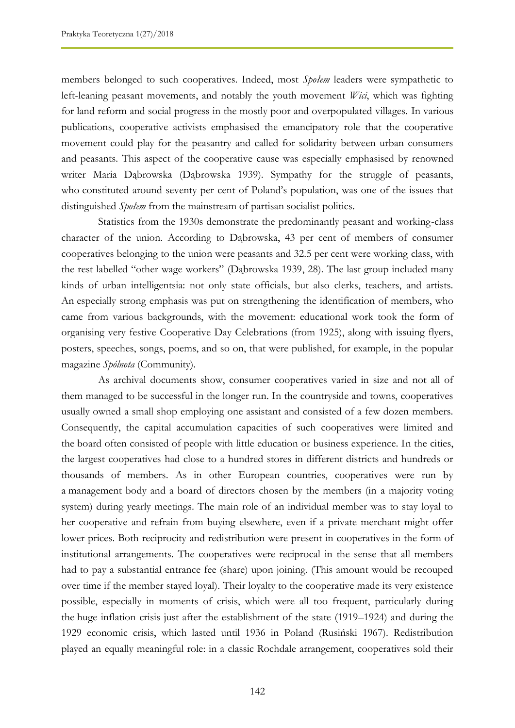members belonged to such cooperatives. Indeed, most *Społem* leaders were sympathetic to left-leaning peasant movements, and notably the youth movement *Wici*, which was fighting for land reform and social progress in the mostly poor and overpopulated villages. In various publications, cooperative activists emphasised the emancipatory role that the cooperative movement could play for the peasantry and called for solidarity between urban consumers and peasants. This aspect of the cooperative cause was especially emphasised by renowned writer Maria Dąbrowska (Dąbrowska 1939). Sympathy for the struggle of peasants, who constituted around seventy per cent of Poland"s population, was one of the issues that distinguished *Społem* from the mainstream of partisan socialist politics.

Statistics from the 1930s demonstrate the predominantly peasant and working-class character of the union. According to Dąbrowska, 43 per cent of members of consumer cooperatives belonging to the union were peasants and 32.5 per cent were working class, with the rest labelled "other wage workers" (Dąbrowska 1939, 28). The last group included many kinds of urban intelligentsia: not only state officials, but also clerks, teachers, and artists. An especially strong emphasis was put on strengthening the identification of members, who came from various backgrounds, with the movement: educational work took the form of organising very festive Cooperative Day Celebrations (from 1925), along with issuing flyers, posters, speeches, songs, poems, and so on, that were published, for example, in the popular magazine *Spólnota* (Community).

As archival documents show, consumer cooperatives varied in size and not all of them managed to be successful in the longer run. In the countryside and towns, cooperatives usually owned a small shop employing one assistant and consisted of a few dozen members. Consequently, the capital accumulation capacities of such cooperatives were limited and the board often consisted of people with little education or business experience. In the cities, the largest cooperatives had close to a hundred stores in different districts and hundreds or thousands of members. As in other European countries, cooperatives were run by a management body and a board of directors chosen by the members (in a majority voting system) during yearly meetings. The main role of an individual member was to stay loyal to her cooperative and refrain from buying elsewhere, even if a private merchant might offer lower prices. Both reciprocity and redistribution were present in cooperatives in the form of institutional arrangements. The cooperatives were reciprocal in the sense that all members had to pay a substantial entrance fee (share) upon joining. (This amount would be recouped over time if the member stayed loyal). Their loyalty to the cooperative made its very existence possible, especially in moments of crisis, which were all too frequent, particularly during the huge inflation crisis just after the establishment of the state (1919–1924) and during the 1929 economic crisis, which lasted until 1936 in Poland (Rusiński 1967). Redistribution played an equally meaningful role: in a classic Rochdale arrangement, cooperatives sold their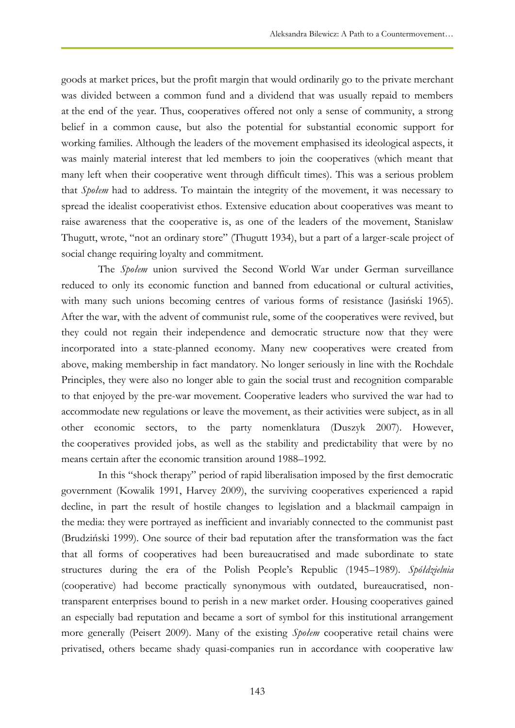goods at market prices, but the profit margin that would ordinarily go to the private merchant was divided between a common fund and a dividend that was usually repaid to members at the end of the year. Thus, cooperatives offered not only a sense of community, a strong belief in a common cause, but also the potential for substantial economic support for working families. Although the leaders of the movement emphasised its ideological aspects, it was mainly material interest that led members to join the cooperatives (which meant that many left when their cooperative went through difficult times). This was a serious problem that *Społem* had to address. To maintain the integrity of the movement, it was necessary to spread the idealist cooperativist ethos. Extensive education about cooperatives was meant to raise awareness that the cooperative is, as one of the leaders of the movement, Stanislaw Thugutt, wrote, "not an ordinary store" (Thugutt 1934), but a part of a larger-scale project of social change requiring loyalty and commitment.

The *Społem* union survived the Second World War under German surveillance reduced to only its economic function and banned from educational or cultural activities, with many such unions becoming centres of various forms of resistance (Jasiński 1965). After the war, with the advent of communist rule, some of the cooperatives were revived, but they could not regain their independence and democratic structure now that they were incorporated into a state-planned economy. Many new cooperatives were created from above, making membership in fact mandatory. No longer seriously in line with the Rochdale Principles, they were also no longer able to gain the social trust and recognition comparable to that enjoyed by the pre-war movement. Cooperative leaders who survived the war had to accommodate new regulations or leave the movement, as their activities were subject, as in all other economic sectors, to the party nomenklatura (Duszyk 2007). However, the cooperatives provided jobs, as well as the stability and predictability that were by no means certain after the economic transition around 1988–1992.

In this "shock therapy" period of rapid liberalisation imposed by the first democratic government (Kowalik 1991, Harvey 2009), the surviving cooperatives experienced a rapid decline, in part the result of hostile changes to legislation and a blackmail campaign in the media: they were portrayed as inefficient and invariably connected to the communist past (Brudziński 1999). One source of their bad reputation after the transformation was the fact that all forms of cooperatives had been bureaucratised and made subordinate to state structures during the era of the Polish People"s Republic (1945–1989). *Spółdzielnia* (cooperative) had become practically synonymous with outdated, bureaucratised, nontransparent enterprises bound to perish in a new market order. Housing cooperatives gained an especially bad reputation and became a sort of symbol for this institutional arrangement more generally (Peisert 2009). Many of the existing *Społem* cooperative retail chains were privatised, others became shady quasi-companies run in accordance with cooperative law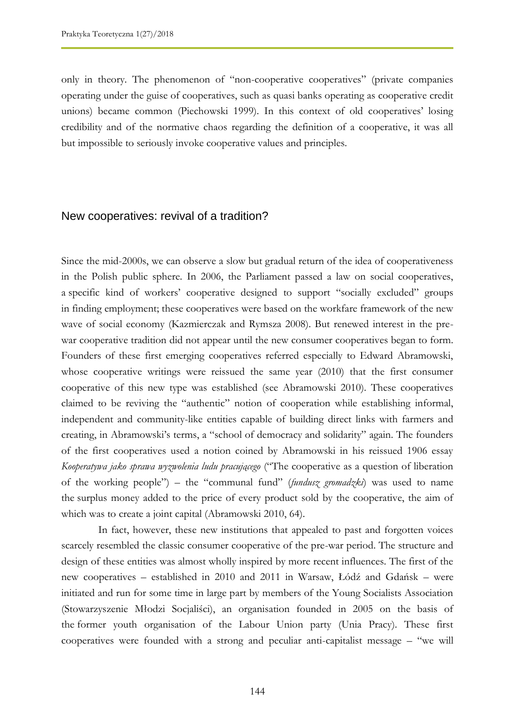only in theory. The phenomenon of "non-cooperative cooperatives" (private companies operating under the guise of cooperatives, such as quasi banks operating as cooperative credit unions) became common (Piechowski 1999). In this context of old cooperatives' losing credibility and of the normative chaos regarding the definition of a cooperative, it was all but impossible to seriously invoke cooperative values and principles.

#### New cooperatives: revival of a tradition?

Since the mid-2000s, we can observe a slow but gradual return of the idea of cooperativeness in the Polish public sphere. In 2006, the Parliament passed a law on social cooperatives, a specific kind of workers' cooperative designed to support "socially excluded" groups in finding employment; these cooperatives were based on the workfare framework of the new wave of social economy (Kazmierczak and Rymsza 2008). But renewed interest in the prewar cooperative tradition did not appear until the new consumer cooperatives began to form. Founders of these first emerging cooperatives referred especially to Edward Abramowski, whose cooperative writings were reissued the same year (2010) that the first consumer cooperative of this new type was established (see Abramowski 2010). These cooperatives claimed to be reviving the "authentic" notion of cooperation while establishing informal, independent and community-like entities capable of building direct links with farmers and creating, in Abramowski"s terms, a "school of democracy and solidarity" again. The founders of the first cooperatives used a notion coined by Abramowski in his reissued 1906 essay *Kooperatywa jako sprawa wyzwolenia ludu pracującego* ("The cooperative as a question of liberation of the working people") – the "communal fund" (*fundusz gromadzki*) was used to name the surplus money added to the price of every product sold by the cooperative, the aim of which was to create a joint capital (Abramowski 2010, 64).

In fact, however, these new institutions that appealed to past and forgotten voices scarcely resembled the classic consumer cooperative of the pre-war period. The structure and design of these entities was almost wholly inspired by more recent influences. The first of the new cooperatives – established in 2010 and 2011 in Warsaw, Łódź and Gdańsk – were initiated and run for some time in large part by members of the Young Socialists Association (Stowarzyszenie Młodzi Socjaliści), an organisation founded in 2005 on the basis of the former youth organisation of the Labour Union party (Unia Pracy). These first cooperatives were founded with a strong and peculiar anti-capitalist message – "we will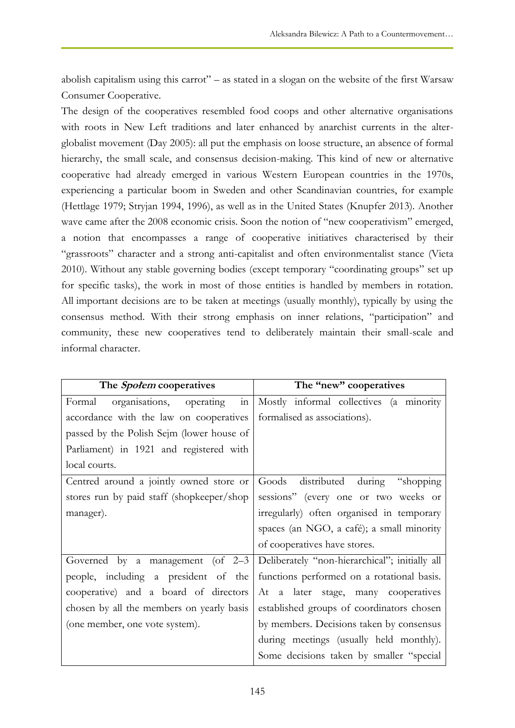abolish capitalism using this carrot" – as stated in a slogan on the website of the first Warsaw Consumer Cooperative.

The design of the cooperatives resembled food coops and other alternative organisations with roots in New Left traditions and later enhanced by anarchist currents in the alterglobalist movement (Day 2005): all put the emphasis on loose structure, an absence of formal hierarchy, the small scale, and consensus decision-making. This kind of new or alternative cooperative had already emerged in various Western European countries in the 1970s, experiencing a particular boom in Sweden and other Scandinavian countries, for example (Hettlage 1979; Stryjan 1994, 1996), as well as in the United States (Knupfer 2013). Another wave came after the 2008 economic crisis. Soon the notion of "new cooperativism" emerged, a notion that encompasses a range of cooperative initiatives characterised by their "grassroots" character and a strong anti-capitalist and often environmentalist stance (Vieta 2010). Without any stable governing bodies (except temporary "coordinating groups" set up for specific tasks), the work in most of those entities is handled by members in rotation. All important decisions are to be taken at meetings (usually monthly), typically by using the consensus method. With their strong emphasis on inner relations, "participation" and community, these new cooperatives tend to deliberately maintain their small-scale and informal character.

| The <i>Społem</i> cooperatives                            | The "new" cooperatives                         |
|-----------------------------------------------------------|------------------------------------------------|
| $\overline{\text{in}}$<br>Formal organisations, operating | Mostly informal collectives (a minority        |
| accordance with the law on cooperatives                   | formalised as associations).                   |
| passed by the Polish Sejm (lower house of                 |                                                |
| Parliament) in 1921 and registered with                   |                                                |
| local courts.                                             |                                                |
| Centred around a jointly owned store or                   | Goods distributed during "shopping"            |
| stores run by paid staff (shopkeeper/shop                 | sessions" (every one or two weeks or           |
| manager).                                                 | irregularly) often organised in temporary      |
|                                                           | spaces (an NGO, a café); a small minority      |
|                                                           | of cooperatives have stores.                   |
| Governed by a management (of $2-3$                        | Deliberately "non-hierarchical"; initially all |
| people, including a president of the                      | functions performed on a rotational basis.     |
| cooperative) and a board of directors                     | At a later stage, many cooperatives            |
| chosen by all the members on yearly basis                 | established groups of coordinators chosen      |
| (one member, one vote system).                            | by members. Decisions taken by consensus       |
|                                                           | during meetings (usually held monthly).        |
|                                                           | Some decisions taken by smaller "special       |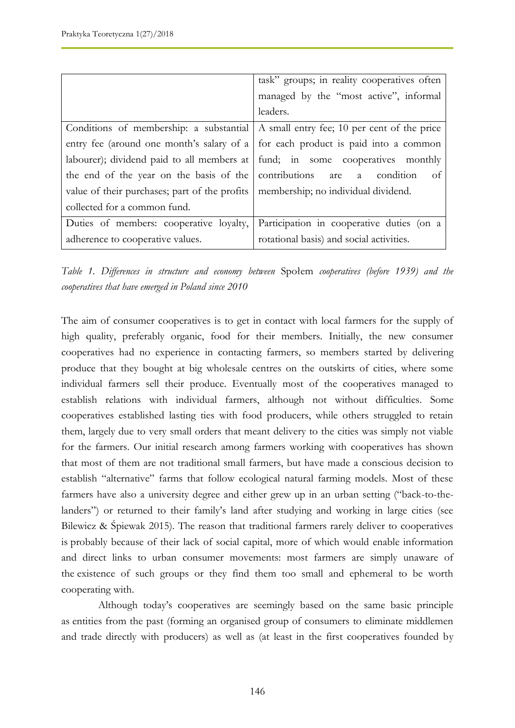|                                                                                     | task" groups; in reality cooperatives often                                                 |
|-------------------------------------------------------------------------------------|---------------------------------------------------------------------------------------------|
|                                                                                     | managed by the "most active", informal                                                      |
|                                                                                     | leaders.                                                                                    |
|                                                                                     | Conditions of membership: a substantial $\vert$ A small entry fee; 10 per cent of the price |
|                                                                                     | entry fee (around one month's salary of a $\vert$ for each product is paid into a common    |
|                                                                                     | labourer); dividend paid to all members at fund; in some cooperatives monthly               |
| the end of the year on the basis of the contributions are $\alpha$ condition        | -of                                                                                         |
| value of their purchases; part of the profits   membership; no individual dividend. |                                                                                             |
| collected for a common fund.                                                        |                                                                                             |
| Duties of members: cooperative loyalty,                                             | Participation in cooperative duties (on a                                                   |
| adherence to cooperative values.                                                    | rotational basis) and social activities.                                                    |

*Table 1. Differences in structure and economy between* Społem *cooperatives (before 1939) and the cooperatives that have emerged in Poland since 2010*

The aim of consumer cooperatives is to get in contact with local farmers for the supply of high quality, preferably organic, food for their members. Initially, the new consumer cooperatives had no experience in contacting farmers, so members started by delivering produce that they bought at big wholesale centres on the outskirts of cities, where some individual farmers sell their produce. Eventually most of the cooperatives managed to establish relations with individual farmers, although not without difficulties. Some cooperatives established lasting ties with food producers, while others struggled to retain them, largely due to very small orders that meant delivery to the cities was simply not viable for the farmers. Our initial research among farmers working with cooperatives has shown that most of them are not traditional small farmers, but have made a conscious decision to establish "alternative" farms that follow ecological natural farming models. Most of these farmers have also a university degree and either grew up in an urban setting ("back-to-thelanders") or returned to their family's land after studying and working in large cities (see Bilewicz & Śpiewak 2015). The reason that traditional farmers rarely deliver to cooperatives is probably because of their lack of social capital, more of which would enable information and direct links to urban consumer movements: most farmers are simply unaware of the existence of such groups or they find them too small and ephemeral to be worth cooperating with.

Although today"s cooperatives are seemingly based on the same basic principle as entities from the past (forming an organised group of consumers to eliminate middlemen and trade directly with producers) as well as (at least in the first cooperatives founded by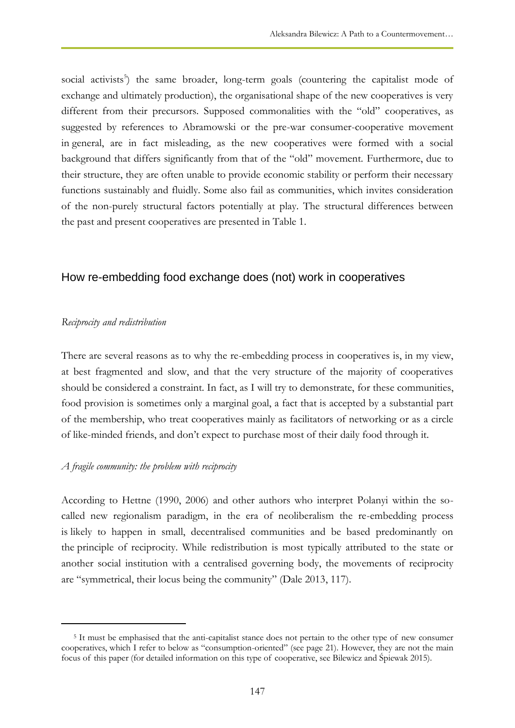social activists<sup>5</sup>) the same broader, long-term goals (countering the capitalist mode of exchange and ultimately production), the organisational shape of the new cooperatives is very different from their precursors. Supposed commonalities with the "old" cooperatives, as suggested by references to Abramowski or the pre-war consumer-cooperative movement in general, are in fact misleading, as the new cooperatives were formed with a social background that differs significantly from that of the "old" movement. Furthermore, due to their structure, they are often unable to provide economic stability or perform their necessary functions sustainably and fluidly. Some also fail as communities, which invites consideration of the non-purely structural factors potentially at play. The structural differences between the past and present cooperatives are presented in Table 1.

## How re-embedding food exchange does (not) work in cooperatives

#### *Reciprocity and redistribution*

 $\overline{a}$ 

There are several reasons as to why the re-embedding process in cooperatives is, in my view, at best fragmented and slow, and that the very structure of the majority of cooperatives should be considered a constraint. In fact, as I will try to demonstrate, for these communities, food provision is sometimes only a marginal goal, a fact that is accepted by a substantial part of the membership, who treat cooperatives mainly as facilitators of networking or as a circle of like-minded friends, and don"t expect to purchase most of their daily food through it.

#### *A fragile community: the problem with reciprocity*

According to Hettne (1990, 2006) and other authors who interpret Polanyi within the socalled new regionalism paradigm, in the era of neoliberalism the re-embedding process is likely to happen in small, decentralised communities and be based predominantly on the principle of reciprocity. While redistribution is most typically attributed to the state or another social institution with a centralised governing body, the movements of reciprocity are "symmetrical, their locus being the community" (Dale 2013, 117).

<sup>5</sup> It must be emphasised that the anti-capitalist stance does not pertain to the other type of new consumer cooperatives, which I refer to below as "consumption-oriented" (see page 21). However, they are not the main focus of this paper (for detailed information on this type of cooperative, see Bilewicz and Śpiewak 2015).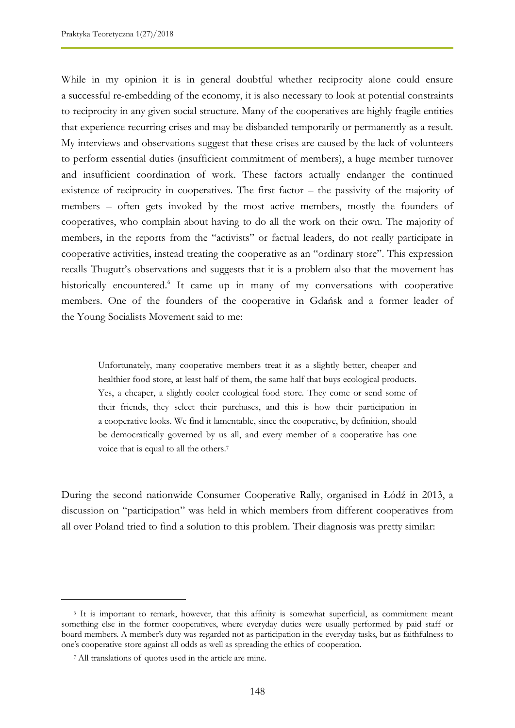While in my opinion it is in general doubtful whether reciprocity alone could ensure a successful re-embedding of the economy, it is also necessary to look at potential constraints to reciprocity in any given social structure. Many of the cooperatives are highly fragile entities that experience recurring crises and may be disbanded temporarily or permanently as a result. My interviews and observations suggest that these crises are caused by the lack of volunteers to perform essential duties (insufficient commitment of members), a huge member turnover and insufficient coordination of work. These factors actually endanger the continued existence of reciprocity in cooperatives. The first factor – the passivity of the majority of members – often gets invoked by the most active members, mostly the founders of cooperatives, who complain about having to do all the work on their own. The majority of members, in the reports from the "activists" or factual leaders, do not really participate in cooperative activities, instead treating the cooperative as an "ordinary store". This expression recalls Thugutt's observations and suggests that it is a problem also that the movement has historically encountered.<sup>6</sup> It came up in many of my conversations with cooperative members. One of the founders of the cooperative in Gdańsk and a former leader of the Young Socialists Movement said to me:

Unfortunately, many cooperative members treat it as a slightly better, cheaper and healthier food store, at least half of them, the same half that buys ecological products. Yes, a cheaper, a slightly cooler ecological food store. They come or send some of their friends, they select their purchases, and this is how their participation in a cooperative looks. We find it lamentable, since the cooperative, by definition, should be democratically governed by us all, and every member of a cooperative has one voice that is equal to all the others.<sup>7</sup>

During the second nationwide Consumer Cooperative Rally, organised in Łódź in 2013, a discussion on "participation" was held in which members from different cooperatives from all over Poland tried to find a solution to this problem. Their diagnosis was pretty similar:

 $\overline{a}$ 

<sup>6</sup> It is important to remark, however, that this affinity is somewhat superficial, as commitment meant something else in the former cooperatives, where everyday duties were usually performed by paid staff or board members. A member"s duty was regarded not as participation in the everyday tasks, but as faithfulness to one"s cooperative store against all odds as well as spreading the ethics of cooperation.

<sup>7</sup> All translations of quotes used in the article are mine.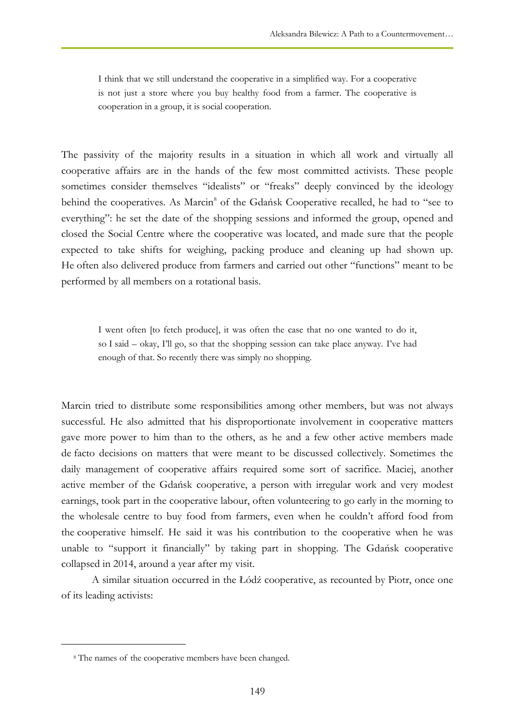I think that we still understand the cooperative in a simplified way. For a cooperative is not just a store where you buy healthy food from a farmer. The cooperative is cooperation in a group, it is social cooperation.

The passivity of the majority results in a situation in which all work and virtually all cooperative affairs are in the hands of the few most committed activists. These people sometimes consider themselves "idealists" or "freaks" deeply convinced by the ideology behind the cooperatives. As Marcin<sup>8</sup> of the Gdańsk Cooperative recalled, he had to "see to everything": he set the date of the shopping sessions and informed the group, opened and closed the Social Centre where the cooperative was located, and made sure that the people expected to take shifts for weighing, packing produce and cleaning up had shown up. He often also delivered produce from farmers and carried out other "functions" meant to be performed by all members on a rotational basis.

I went often [to fetch produce], it was often the case that no one wanted to do it, so I said – okay, I"ll go, so that the shopping session can take place anyway. I"ve had enough of that. So recently there was simply no shopping.

Marcin tried to distribute some responsibilities among other members, but was not always successful. He also admitted that his disproportionate involvement in cooperative matters gave more power to him than to the others, as he and a few other active members made de facto decisions on matters that were meant to be discussed collectively. Sometimes the daily management of cooperative affairs required some sort of sacrifice. Maciej, another active member of the Gdańsk cooperative, a person with irregular work and very modest earnings, took part in the cooperative labour, often volunteering to go early in the morning to the wholesale centre to buy food from farmers, even when he couldn"t afford food from the cooperative himself. He said it was his contribution to the cooperative when he was unable to "support it financially" by taking part in shopping. The Gdańsk cooperative collapsed in 2014, around a year after my visit.

A similar situation occurred in the Łódź cooperative, as recounted by Piotr, once one of its leading activists:

 $\overline{a}$ 

<sup>8</sup> The names of the cooperative members have been changed.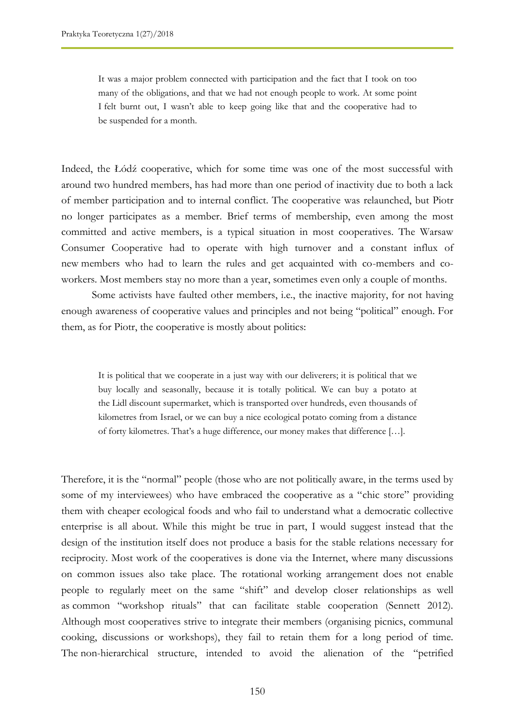It was a major problem connected with participation and the fact that I took on too many of the obligations, and that we had not enough people to work. At some point I felt burnt out, I wasn't able to keep going like that and the cooperative had to be suspended for a month.

Indeed, the Łódź cooperative, which for some time was one of the most successful with around two hundred members, has had more than one period of inactivity due to both a lack of member participation and to internal conflict. The cooperative was relaunched, but Piotr no longer participates as a member. Brief terms of membership, even among the most committed and active members, is a typical situation in most cooperatives. The Warsaw Consumer Cooperative had to operate with high turnover and a constant influx of new members who had to learn the rules and get acquainted with co-members and coworkers. Most members stay no more than a year, sometimes even only a couple of months.

Some activists have faulted other members, i.e., the inactive majority, for not having enough awareness of cooperative values and principles and not being "political" enough. For them, as for Piotr, the cooperative is mostly about politics:

It is political that we cooperate in a just way with our deliverers; it is political that we buy locally and seasonally, because it is totally political. We can buy a potato at the Lidl discount supermarket, which is transported over hundreds, even thousands of kilometres from Israel, or we can buy a nice ecological potato coming from a distance of forty kilometres. That's a huge difference, our money makes that difference [...].

Therefore, it is the "normal" people (those who are not politically aware, in the terms used by some of my interviewees) who have embraced the cooperative as a "chic store" providing them with cheaper ecological foods and who fail to understand what a democratic collective enterprise is all about. While this might be true in part, I would suggest instead that the design of the institution itself does not produce a basis for the stable relations necessary for reciprocity. Most work of the cooperatives is done via the Internet, where many discussions on common issues also take place. The rotational working arrangement does not enable people to regularly meet on the same "shift" and develop closer relationships as well as common "workshop rituals" that can facilitate stable cooperation (Sennett 2012). Although most cooperatives strive to integrate their members (organising picnics, communal cooking, discussions or workshops), they fail to retain them for a long period of time. The non-hierarchical structure, intended to avoid the alienation of the "petrified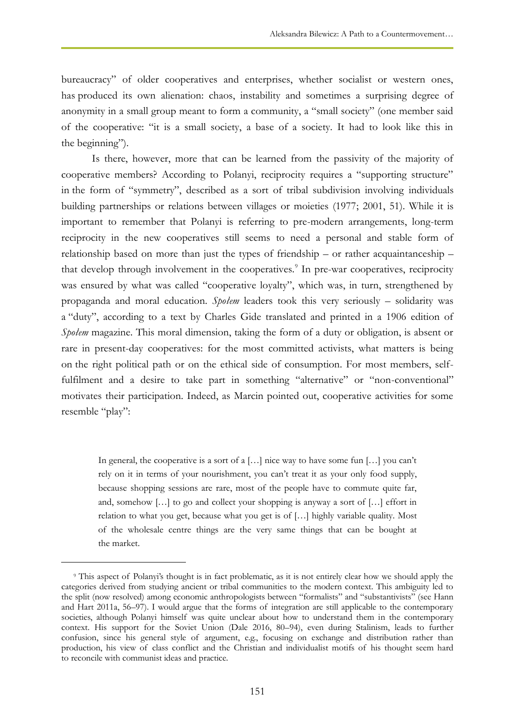bureaucracy" of older cooperatives and enterprises, whether socialist or western ones, has produced its own alienation: chaos, instability and sometimes a surprising degree of anonymity in a small group meant to form a community, a "small society" (one member said of the cooperative: "it is a small society, a base of a society. It had to look like this in the beginning").

Is there, however, more that can be learned from the passivity of the majority of cooperative members? According to Polanyi, reciprocity requires a "supporting structure" in the form of "symmetry", described as a sort of tribal subdivision involving individuals building partnerships or relations between villages or moieties (1977; 2001, 51). While it is important to remember that Polanyi is referring to pre-modern arrangements, long-term reciprocity in the new cooperatives still seems to need a personal and stable form of relationship based on more than just the types of friendship – or rather acquaintanceship – that develop through involvement in the cooperatives.<sup>9</sup> In pre-war cooperatives, reciprocity was ensured by what was called "cooperative loyalty", which was, in turn, strengthened by propaganda and moral education. *Społem* leaders took this very seriously – solidarity was a "duty", according to a text by Charles Gide translated and printed in a 1906 edition of *Społem* magazine. This moral dimension, taking the form of a duty or obligation, is absent or rare in present-day cooperatives: for the most committed activists, what matters is being on the right political path or on the ethical side of consumption. For most members, selffulfilment and a desire to take part in something "alternative" or "non-conventional" motivates their participation. Indeed, as Marcin pointed out, cooperative activities for some resemble "play":

In general, the cooperative is a sort of a  $[...]$  nice way to have some fun  $[...]$  you can't rely on it in terms of your nourishment, you can"t treat it as your only food supply, because shopping sessions are rare, most of the people have to commute quite far, and, somehow  $[\ldots]$  to go and collect your shopping is anyway a sort of  $[\ldots]$  effort in relation to what you get, because what you get is of […] highly variable quality. Most of the wholesale centre things are the very same things that can be bought at the market.

 $\overline{a}$ 

<sup>9</sup> This aspect of Polanyi"s thought is in fact problematic, as it is not entirely clear how we should apply the categories derived from studying ancient or tribal communities to the modern context. This ambiguity led to the split (now resolved) among economic anthropologists between "formalists" and "substantivists" (see Hann and Hart 2011a, 56–97). I would argue that the forms of integration are still applicable to the contemporary societies, although Polanyi himself was quite unclear about how to understand them in the contemporary context. His support for the Soviet Union (Dale 2016, 80–94), even during Stalinism, leads to further confusion, since his general style of argument, e.g., focusing on exchange and distribution rather than production, his view of class conflict and the Christian and individualist motifs of his thought seem hard to reconcile with communist ideas and practice.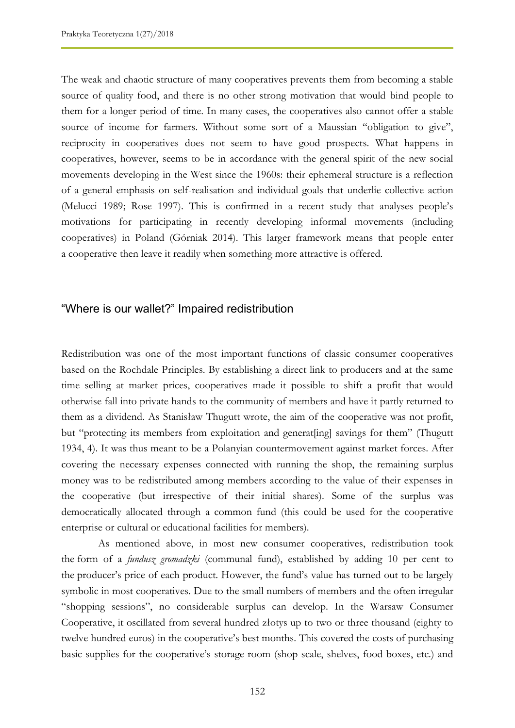The weak and chaotic structure of many cooperatives prevents them from becoming a stable source of quality food, and there is no other strong motivation that would bind people to them for a longer period of time. In many cases, the cooperatives also cannot offer a stable source of income for farmers. Without some sort of a Maussian "obligation to give", reciprocity in cooperatives does not seem to have good prospects. What happens in cooperatives, however, seems to be in accordance with the general spirit of the new social movements developing in the West since the 1960s: their ephemeral structure is a reflection of a general emphasis on self-realisation and individual goals that underlie collective action (Melucci 1989; Rose 1997). This is confirmed in a recent study that analyses people"s motivations for participating in recently developing informal movements (including cooperatives) in Poland (Górniak 2014). This larger framework means that people enter a cooperative then leave it readily when something more attractive is offered.

## "Where is our wallet?" Impaired redistribution

Redistribution was one of the most important functions of classic consumer cooperatives based on the Rochdale Principles. By establishing a direct link to producers and at the same time selling at market prices, cooperatives made it possible to shift a profit that would otherwise fall into private hands to the community of members and have it partly returned to them as a dividend. As Stanisław Thugutt wrote, the aim of the cooperative was not profit, but "protecting its members from exploitation and generat[ing] savings for them" (Thugutt 1934, 4). It was thus meant to be a Polanyian countermovement against market forces. After covering the necessary expenses connected with running the shop, the remaining surplus money was to be redistributed among members according to the value of their expenses in the cooperative (but irrespective of their initial shares). Some of the surplus was democratically allocated through a common fund (this could be used for the cooperative enterprise or cultural or educational facilities for members).

As mentioned above, in most new consumer cooperatives, redistribution took the form of a *fundusz gromadzki* (communal fund), established by adding 10 per cent to the producer's price of each product. However, the fund's value has turned out to be largely symbolic in most cooperatives. Due to the small numbers of members and the often irregular "shopping sessions", no considerable surplus can develop. In the Warsaw Consumer Cooperative, it oscillated from several hundred złotys up to two or three thousand (eighty to twelve hundred euros) in the cooperative's best months. This covered the costs of purchasing basic supplies for the cooperative"s storage room (shop scale, shelves, food boxes, etc.) and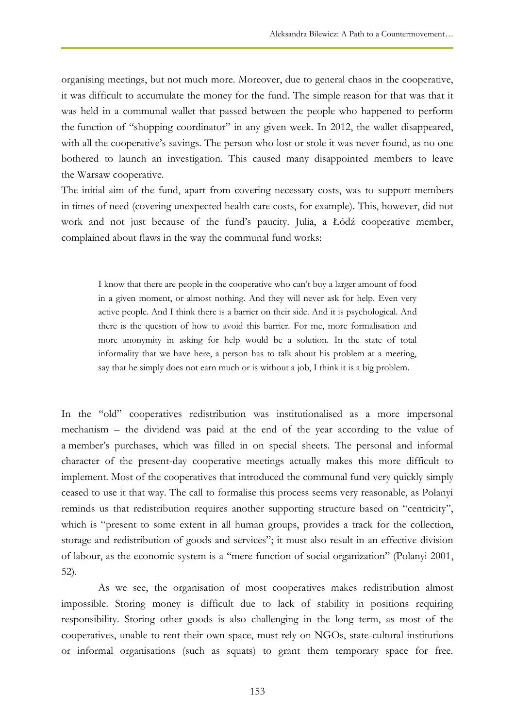organising meetings, but not much more. Moreover, due to general chaos in the cooperative, it was difficult to accumulate the money for the fund. The simple reason for that was that it was held in a communal wallet that passed between the people who happened to perform the function of "shopping coordinator" in any given week. In 2012, the wallet disappeared, with all the cooperative's savings. The person who lost or stole it was never found, as no one bothered to launch an investigation. This caused many disappointed members to leave the Warsaw cooperative.

The initial aim of the fund, apart from covering necessary costs, was to support members in times of need (covering unexpected health care costs, for example). This, however, did not work and not just because of the fund"s paucity. Julia, a Łódź cooperative member, complained about flaws in the way the communal fund works:

I know that there are people in the cooperative who can't buy a larger amount of food in a given moment, or almost nothing. And they will never ask for help. Even very active people. And I think there is a barrier on their side. And it is psychological. And there is the question of how to avoid this barrier. For me, more formalisation and more anonymity in asking for help would be a solution. In the state of total informality that we have here, a person has to talk about his problem at a meeting, say that he simply does not earn much or is without a job, I think it is a big problem.

In the "old" cooperatives redistribution was institutionalised as a more impersonal mechanism – the dividend was paid at the end of the year according to the value of a member's purchases, which was filled in on special sheets. The personal and informal character of the present-day cooperative meetings actually makes this more difficult to implement. Most of the cooperatives that introduced the communal fund very quickly simply ceased to use it that way. The call to formalise this process seems very reasonable, as Polanyi reminds us that redistribution requires another supporting structure based on "centricity", which is "present to some extent in all human groups, provides a track for the collection, storage and redistribution of goods and services"; it must also result in an effective division of labour, as the economic system is a "mere function of social organization" (Polanyi 2001, 52).

As we see, the organisation of most cooperatives makes redistribution almost impossible. Storing money is difficult due to lack of stability in positions requiring responsibility. Storing other goods is also challenging in the long term, as most of the cooperatives, unable to rent their own space, must rely on NGOs, state-cultural institutions or informal organisations (such as squats) to grant them temporary space for free.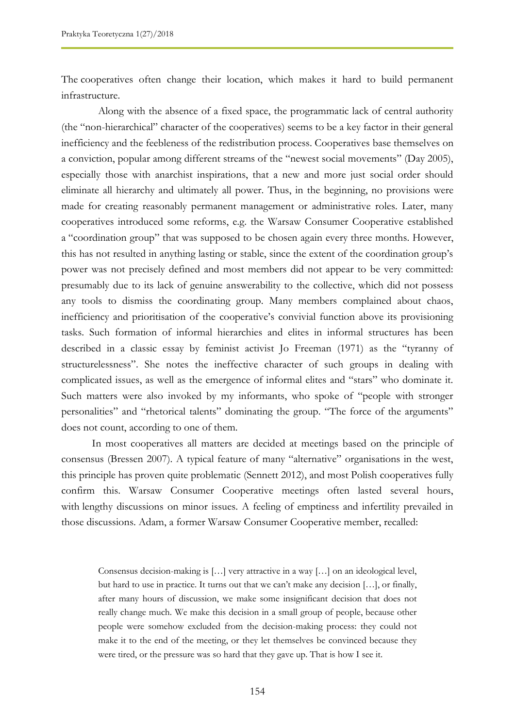The cooperatives often change their location, which makes it hard to build permanent infrastructure.

Along with the absence of a fixed space, the programmatic lack of central authority (the "non-hierarchical" character of the cooperatives) seems to be a key factor in their general inefficiency and the feebleness of the redistribution process. Cooperatives base themselves on a conviction, popular among different streams of the "newest social movements" (Day 2005), especially those with anarchist inspirations, that a new and more just social order should eliminate all hierarchy and ultimately all power. Thus, in the beginning, no provisions were made for creating reasonably permanent management or administrative roles. Later, many cooperatives introduced some reforms, e.g. the Warsaw Consumer Cooperative established a "coordination group" that was supposed to be chosen again every three months. However, this has not resulted in anything lasting or stable, since the extent of the coordination group"s power was not precisely defined and most members did not appear to be very committed: presumably due to its lack of genuine answerability to the collective, which did not possess any tools to dismiss the coordinating group. Many members complained about chaos, inefficiency and prioritisation of the cooperative's convivial function above its provisioning tasks. Such formation of informal hierarchies and elites in informal structures has been described in a classic essay by feminist activist Jo Freeman (1971) as the "tyranny of structurelessness". She notes the ineffective character of such groups in dealing with complicated issues, as well as the emergence of informal elites and "stars" who dominate it. Such matters were also invoked by my informants, who spoke of "people with stronger personalities" and "rhetorical talents" dominating the group. "The force of the arguments" does not count, according to one of them.

In most cooperatives all matters are decided at meetings based on the principle of consensus (Bressen 2007). A typical feature of many "alternative" organisations in the west, this principle has proven quite problematic (Sennett 2012), and most Polish cooperatives fully confirm this. Warsaw Consumer Cooperative meetings often lasted several hours, with lengthy discussions on minor issues. A feeling of emptiness and infertility prevailed in those discussions. Adam, a former Warsaw Consumer Cooperative member, recalled:

Consensus decision-making is […] very attractive in a way […] on an ideological level, but hard to use in practice. It turns out that we can't make any decision  $[\ldots]$ , or finally, after many hours of discussion, we make some insignificant decision that does not really change much. We make this decision in a small group of people, because other people were somehow excluded from the decision-making process: they could not make it to the end of the meeting, or they let themselves be convinced because they were tired, or the pressure was so hard that they gave up. That is how I see it.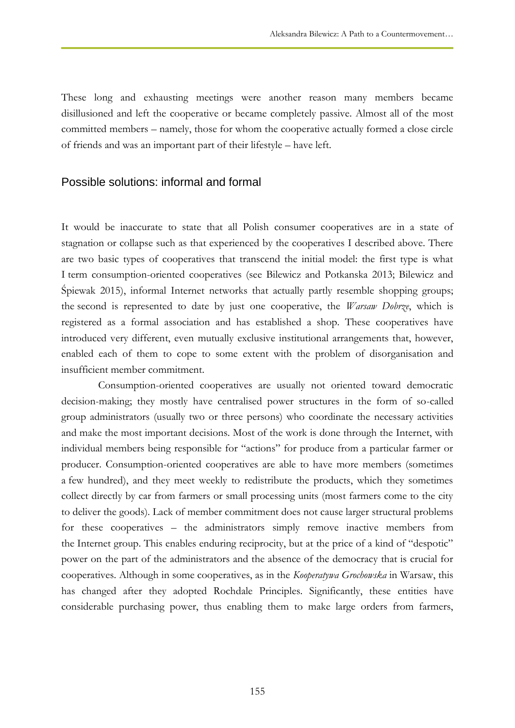These long and exhausting meetings were another reason many members became disillusioned and left the cooperative or became completely passive. Almost all of the most committed members – namely, those for whom the cooperative actually formed a close circle of friends and was an important part of their lifestyle – have left.

#### Possible solutions: informal and formal

It would be inaccurate to state that all Polish consumer cooperatives are in a state of stagnation or collapse such as that experienced by the cooperatives I described above. There are two basic types of cooperatives that transcend the initial model: the first type is what I term consumption-oriented cooperatives (see Bilewicz and Potkanska 2013; Bilewicz and Śpiewak 2015), informal Internet networks that actually partly resemble shopping groups; the second is represented to date by just one cooperative, the *Warsaw Dobrze*, which is registered as a formal association and has established a shop. These cooperatives have introduced very different, even mutually exclusive institutional arrangements that, however, enabled each of them to cope to some extent with the problem of disorganisation and insufficient member commitment.

Consumption-oriented cooperatives are usually not oriented toward democratic decision-making; they mostly have centralised power structures in the form of so-called group administrators (usually two or three persons) who coordinate the necessary activities and make the most important decisions. Most of the work is done through the Internet, with individual members being responsible for "actions" for produce from a particular farmer or producer. Consumption-oriented cooperatives are able to have more members (sometimes a few hundred), and they meet weekly to redistribute the products, which they sometimes collect directly by car from farmers or small processing units (most farmers come to the city to deliver the goods). Lack of member commitment does not cause larger structural problems for these cooperatives – the administrators simply remove inactive members from the Internet group. This enables enduring reciprocity, but at the price of a kind of "despotic" power on the part of the administrators and the absence of the democracy that is crucial for cooperatives. Although in some cooperatives, as in the *Kooperatywa Grochowska* in Warsaw, this has changed after they adopted Rochdale Principles. Significantly, these entities have considerable purchasing power, thus enabling them to make large orders from farmers,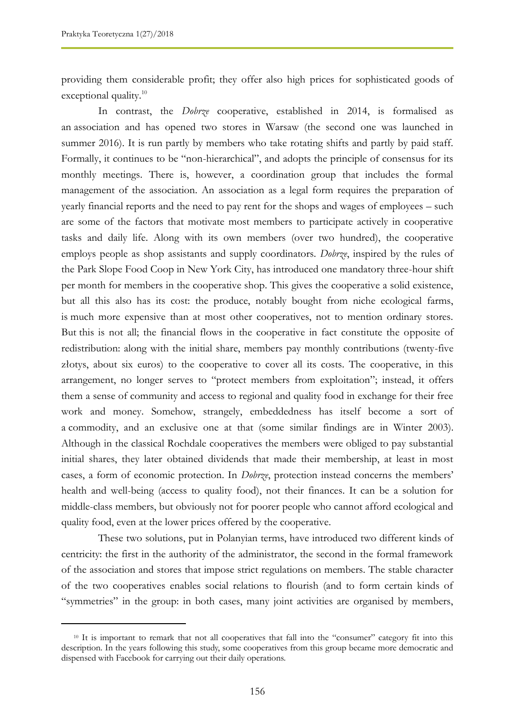$\overline{a}$ 

providing them considerable profit; they offer also high prices for sophisticated goods of exceptional quality.<sup>10</sup>

In contrast, the *Dobrze* cooperative, established in 2014, is formalised as an association and has opened two stores in Warsaw (the second one was launched in summer 2016). It is run partly by members who take rotating shifts and partly by paid staff. Formally, it continues to be "non-hierarchical", and adopts the principle of consensus for its monthly meetings. There is, however, a coordination group that includes the formal management of the association. An association as a legal form requires the preparation of yearly financial reports and the need to pay rent for the shops and wages of employees – such are some of the factors that motivate most members to participate actively in cooperative tasks and daily life. Along with its own members (over two hundred), the cooperative employs people as shop assistants and supply coordinators. *Dobrze*, inspired by the rules of the Park Slope Food Coop in New York City, has introduced one mandatory three-hour shift per month for members in the cooperative shop. This gives the cooperative a solid existence, but all this also has its cost: the produce, notably bought from niche ecological farms, is much more expensive than at most other cooperatives, not to mention ordinary stores. But this is not all; the financial flows in the cooperative in fact constitute the opposite of redistribution: along with the initial share, members pay monthly contributions (twenty-five złotys, about six euros) to the cooperative to cover all its costs. The cooperative, in this arrangement, no longer serves to "protect members from exploitation"; instead, it offers them a sense of community and access to regional and quality food in exchange for their free work and money. Somehow, strangely, embeddedness has itself become a sort of a commodity, and an exclusive one at that (some similar findings are in Winter 2003). Although in the classical Rochdale cooperatives the members were obliged to pay substantial initial shares, they later obtained dividends that made their membership, at least in most cases, a form of economic protection. In *Dobrze*, protection instead concerns the members" health and well-being (access to quality food), not their finances. It can be a solution for middle-class members, but obviously not for poorer people who cannot afford ecological and quality food, even at the lower prices offered by the cooperative.

These two solutions, put in Polanyian terms, have introduced two different kinds of centricity: the first in the authority of the administrator, the second in the formal framework of the association and stores that impose strict regulations on members. The stable character of the two cooperatives enables social relations to flourish (and to form certain kinds of "symmetries" in the group: in both cases, many joint activities are organised by members,

<sup>10</sup> It is important to remark that not all cooperatives that fall into the "consumer" category fit into this description. In the years following this study, some cooperatives from this group became more democratic and dispensed with Facebook for carrying out their daily operations.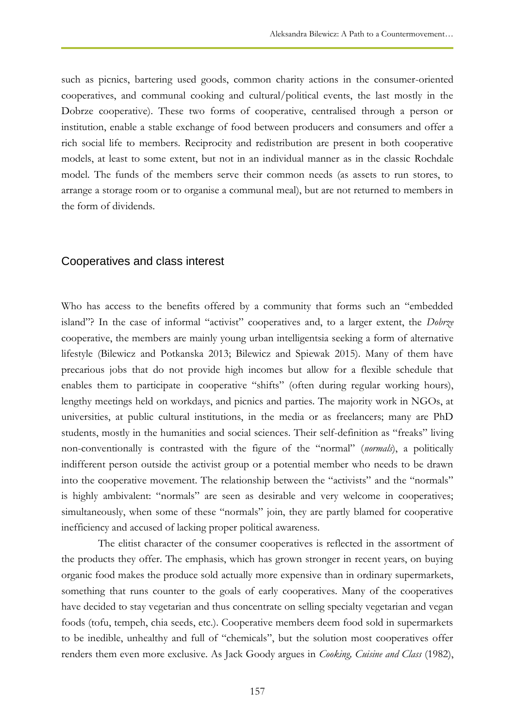such as picnics, bartering used goods, common charity actions in the consumer-oriented cooperatives, and communal cooking and cultural/political events, the last mostly in the Dobrze cooperative). These two forms of cooperative, centralised through a person or institution, enable a stable exchange of food between producers and consumers and offer a rich social life to members. Reciprocity and redistribution are present in both cooperative models, at least to some extent, but not in an individual manner as in the classic Rochdale model. The funds of the members serve their common needs (as assets to run stores, to arrange a storage room or to organise a communal meal), but are not returned to members in the form of dividends.

#### Cooperatives and class interest

Who has access to the benefits offered by a community that forms such an "embedded island"? In the case of informal "activist" cooperatives and, to a larger extent, the *Dobrze* cooperative, the members are mainly young urban intelligentsia seeking a form of alternative lifestyle (Bilewicz and Potkanska 2013; Bilewicz and Spiewak 2015). Many of them have precarious jobs that do not provide high incomes but allow for a flexible schedule that enables them to participate in cooperative "shifts" (often during regular working hours), lengthy meetings held on workdays, and picnics and parties. The majority work in NGOs, at universities, at public cultural institutions, in the media or as freelancers; many are PhD students, mostly in the humanities and social sciences. Their self-definition as "freaks" living non-conventionally is contrasted with the figure of the "normal" (*normals*), a politically indifferent person outside the activist group or a potential member who needs to be drawn into the cooperative movement. The relationship between the "activists" and the "normals" is highly ambivalent: "normals" are seen as desirable and very welcome in cooperatives; simultaneously, when some of these "normals" join, they are partly blamed for cooperative inefficiency and accused of lacking proper political awareness.

The elitist character of the consumer cooperatives is reflected in the assortment of the products they offer. The emphasis, which has grown stronger in recent years, on buying organic food makes the produce sold actually more expensive than in ordinary supermarkets, something that runs counter to the goals of early cooperatives. Many of the cooperatives have decided to stay vegetarian and thus concentrate on selling specialty vegetarian and vegan foods (tofu, tempeh, chia seeds, etc.). Cooperative members deem food sold in supermarkets to be inedible, unhealthy and full of "chemicals", but the solution most cooperatives offer renders them even more exclusive. As Jack Goody argues in *Cooking, Cuisine and Class* (1982),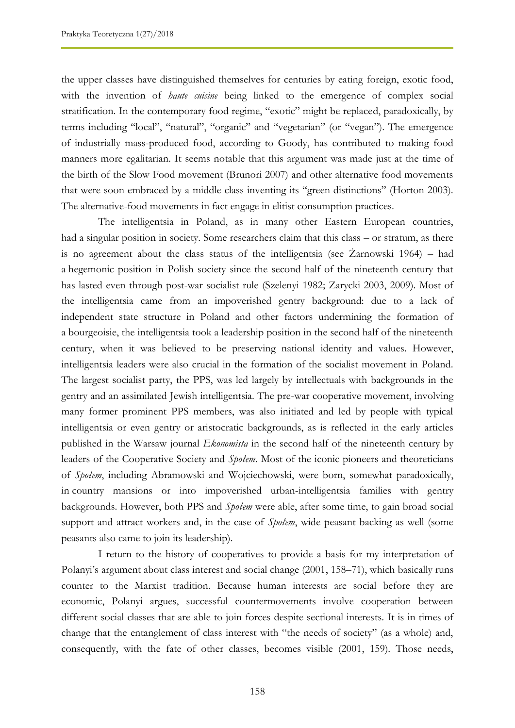the upper classes have distinguished themselves for centuries by eating foreign, exotic food, with the invention of *haute cuisine* being linked to the emergence of complex social stratification. In the contemporary food regime, "exotic" might be replaced, paradoxically, by terms including "local", "natural", "organic" and "vegetarian" (or "vegan"). The emergence of industrially mass-produced food, according to Goody, has contributed to making food manners more egalitarian. It seems notable that this argument was made just at the time of the birth of the Slow Food movement (Brunori 2007) and other alternative food movements that were soon embraced by a middle class inventing its "green distinctions" (Horton 2003). The alternative-food movements in fact engage in elitist consumption practices.

The intelligentsia in Poland, as in many other Eastern European countries, had a singular position in society. Some researchers claim that this class – or stratum, as there is no agreement about the class status of the intelligentsia (see Żarnowski 1964) – had a hegemonic position in Polish society since the second half of the nineteenth century that has lasted even through post-war socialist rule (Szelenyi 1982; Zarycki 2003, 2009). Most of the intelligentsia came from an impoverished gentry background: due to a lack of independent state structure in Poland and other factors undermining the formation of a bourgeoisie, the intelligentsia took a leadership position in the second half of the nineteenth century, when it was believed to be preserving national identity and values. However, intelligentsia leaders were also crucial in the formation of the socialist movement in Poland. The largest socialist party, the PPS, was led largely by intellectuals with backgrounds in the gentry and an assimilated Jewish intelligentsia. The pre-war cooperative movement, involving many former prominent PPS members, was also initiated and led by people with typical intelligentsia or even gentry or aristocratic backgrounds, as is reflected in the early articles published in the Warsaw journal *Ekonomista* in the second half of the nineteenth century by leaders of the Cooperative Society and *Społem*. Most of the iconic pioneers and theoreticians of *Społem*, including Abramowski and Wojciechowski, were born, somewhat paradoxically, in country mansions or into impoverished urban-intelligentsia families with gentry backgrounds. However, both PPS and *Społem* were able, after some time, to gain broad social support and attract workers and, in the case of *Społem*, wide peasant backing as well (some peasants also came to join its leadership).

I return to the history of cooperatives to provide a basis for my interpretation of Polanyi's argument about class interest and social change (2001, 158–71), which basically runs counter to the Marxist tradition. Because human interests are social before they are economic, Polanyi argues, successful countermovements involve cooperation between different social classes that are able to join forces despite sectional interests. It is in times of change that the entanglement of class interest with "the needs of society" (as a whole) and, consequently, with the fate of other classes, becomes visible (2001, 159). Those needs,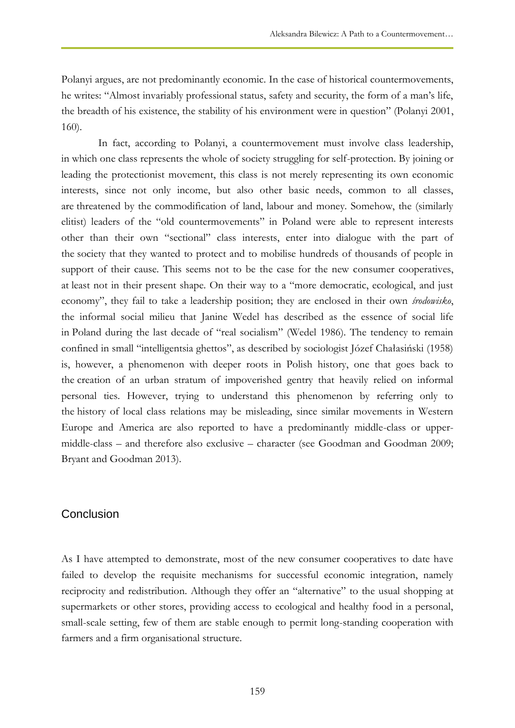Polanyi argues, are not predominantly economic. In the case of historical countermovements, he writes: "Almost invariably professional status, safety and security, the form of a man's life, the breadth of his existence, the stability of his environment were in question" (Polanyi 2001, 160).

In fact, according to Polanyi, a countermovement must involve class leadership, in which one class represents the whole of society struggling for self-protection. By joining or leading the protectionist movement, this class is not merely representing its own economic interests, since not only income, but also other basic needs, common to all classes, are threatened by the commodification of land, labour and money. Somehow, the (similarly elitist) leaders of the "old countermovements" in Poland were able to represent interests other than their own "sectional" class interests, enter into dialogue with the part of the society that they wanted to protect and to mobilise hundreds of thousands of people in support of their cause. This seems not to be the case for the new consumer cooperatives, at least not in their present shape. On their way to a "more democratic, ecological, and just economy", they fail to take a leadership position; they are enclosed in their own *środowisko*, the informal social milieu that Janine Wedel has described as the essence of social life in Poland during the last decade of "real socialism" (Wedel 1986). The tendency to remain confined in small "intelligentsia ghettos", as described by sociologist Józef Chałasiński (1958) is, however, a phenomenon with deeper roots in Polish history, one that goes back to the creation of an urban stratum of impoverished gentry that heavily relied on informal personal ties. However, trying to understand this phenomenon by referring only to the history of local class relations may be misleading, since similar movements in Western Europe and America are also reported to have a predominantly middle-class or uppermiddle-class – and therefore also exclusive – character (see Goodman and Goodman 2009; Bryant and Goodman 2013).

#### **Conclusion**

As I have attempted to demonstrate, most of the new consumer cooperatives to date have failed to develop the requisite mechanisms for successful economic integration, namely reciprocity and redistribution. Although they offer an "alternative" to the usual shopping at supermarkets or other stores, providing access to ecological and healthy food in a personal, small-scale setting, few of them are stable enough to permit long-standing cooperation with farmers and a firm organisational structure.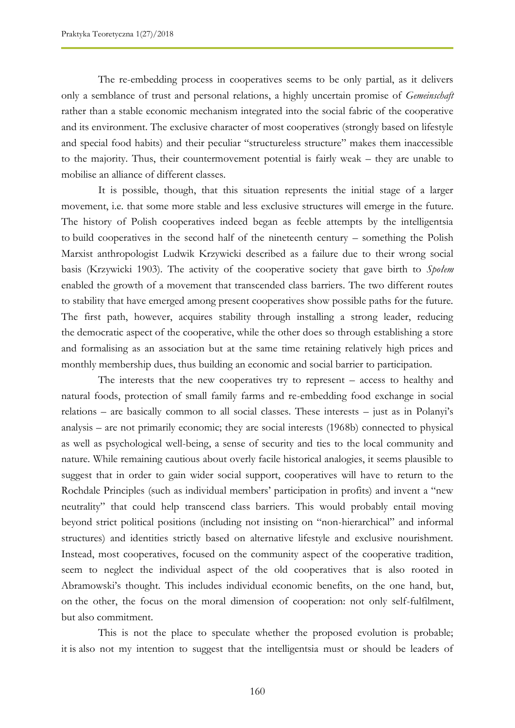The re-embedding process in cooperatives seems to be only partial, as it delivers only a semblance of trust and personal relations, a highly uncertain promise of *Gemeinschaft* rather than a stable economic mechanism integrated into the social fabric of the cooperative and its environment. The exclusive character of most cooperatives (strongly based on lifestyle and special food habits) and their peculiar "structureless structure" makes them inaccessible to the majority. Thus, their countermovement potential is fairly weak – they are unable to mobilise an alliance of different classes.

It is possible, though, that this situation represents the initial stage of a larger movement, i.e. that some more stable and less exclusive structures will emerge in the future. The history of Polish cooperatives indeed began as feeble attempts by the intelligentsia to build cooperatives in the second half of the nineteenth century – something the Polish Marxist anthropologist Ludwik Krzywicki described as a failure due to their wrong social basis (Krzywicki 1903). The activity of the cooperative society that gave birth to *Społem* enabled the growth of a movement that transcended class barriers. The two different routes to stability that have emerged among present cooperatives show possible paths for the future. The first path, however, acquires stability through installing a strong leader, reducing the democratic aspect of the cooperative, while the other does so through establishing a store and formalising as an association but at the same time retaining relatively high prices and monthly membership dues, thus building an economic and social barrier to participation.

The interests that the new cooperatives try to represent – access to healthy and natural foods, protection of small family farms and re-embedding food exchange in social relations – are basically common to all social classes. These interests – just as in Polanyi"s analysis – are not primarily economic; they are social interests (1968b) connected to physical as well as psychological well-being, a sense of security and ties to the local community and nature. While remaining cautious about overly facile historical analogies, it seems plausible to suggest that in order to gain wider social support, cooperatives will have to return to the Rochdale Principles (such as individual members' participation in profits) and invent a "new neutrality" that could help transcend class barriers. This would probably entail moving beyond strict political positions (including not insisting on "non-hierarchical" and informal structures) and identities strictly based on alternative lifestyle and exclusive nourishment. Instead, most cooperatives, focused on the community aspect of the cooperative tradition, seem to neglect the individual aspect of the old cooperatives that is also rooted in Abramowski"s thought. This includes individual economic benefits, on the one hand, but, on the other, the focus on the moral dimension of cooperation: not only self-fulfilment, but also commitment.

This is not the place to speculate whether the proposed evolution is probable; it is also not my intention to suggest that the intelligentsia must or should be leaders of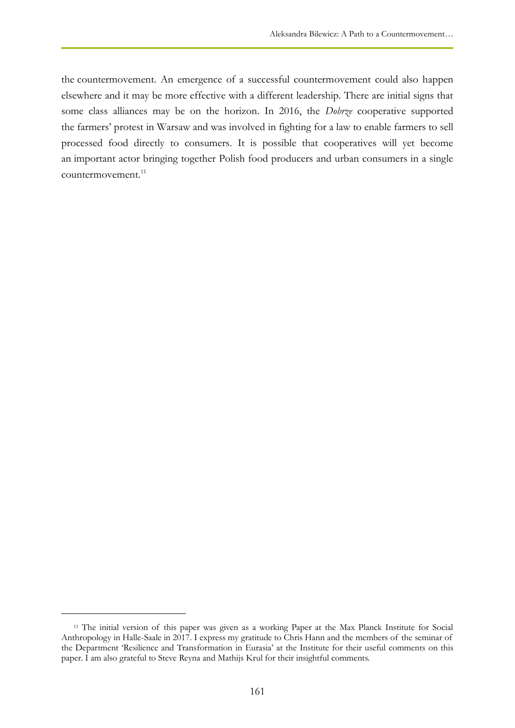the countermovement. An emergence of a successful countermovement could also happen elsewhere and it may be more effective with a different leadership. There are initial signs that some class alliances may be on the horizon. In 2016, the *Dobrze* cooperative supported the farmers" protest in Warsaw and was involved in fighting for a law to enable farmers to sell processed food directly to consumers. It is possible that cooperatives will yet become an important actor bringing together Polish food producers and urban consumers in a single countermovement.<sup>11</sup>

 $\overline{a}$ 

<sup>11</sup> The initial version of this paper was given as a working Paper at the Max Planck Institute for Social Anthropology in Halle-Saale in 2017. I express my gratitude to Chris Hann and the members of the seminar of the Department "Resilience and Transformation in Eurasia" at the Institute for their useful comments on this paper. I am also grateful to Steve Reyna and Mathijs Krul for their insightful comments.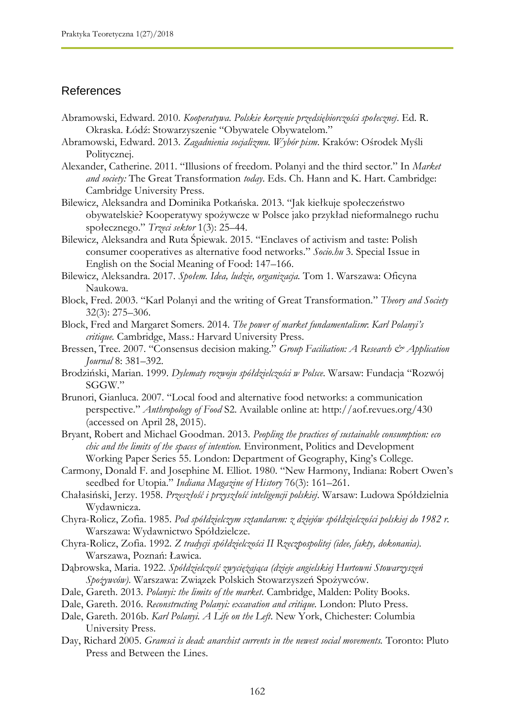## References

- Abramowski, Edward. 2010. *Kooperatywa. Polskie korzenie przedsiębiorczości społecznej*. Ed. R. Okraska. Łódź: Stowarzyszenie "Obywatele Obywatelom."
- Abramowski, Edward. 2013. *Zagadnienia socjalizmu. Wybór pism*. Kraków: Ośrodek Myśli Politycznej.
- Alexander, Catherine. 2011. "Illusions of freedom. Polanyi and the third sector." In *Market and society:* The Great Transformation *today*. Eds. Ch. Hann and K. Hart. Cambridge: Cambridge University Press.
- Bilewicz, Aleksandra and Dominika Potkańska. 2013. "Jak kiełkuje społeczeństwo obywatelskie? Kooperatywy spożywcze w Polsce jako przykład nieformalnego ruchu społecznego." *Trzeci sektor* 1(3): 25–44.
- Bilewicz, Aleksandra and Ruta Śpiewak. 2015. "Enclaves of activism and taste: Polish consumer cooperatives as alternative food networks." *Socio.hu* 3. Special Issue in English on the Social Meaning of Food: 147–166.
- Bilewicz, Aleksandra. 2017. *Społem. Idea, ludzie, organizacja.* Tom 1. Warszawa: Oficyna Naukowa.
- Block, Fred. 2003. "Karl Polanyi and the writing of Great Transformation." *Theory and Society* 32(3): 275–306.
- Block, Fred and Margaret Somers. 2014. *The power of market fundamentalism*: *Karl Polanyi's critique.* Cambridge, Mass.: Harvard University Press.
- Bressen, Tree. 2007. "Consensus decision making." *Group Faciliation: A Research & Application Journal* 8: 381–392.
- Brodziński, Marian. 1999. *Dylematy rozwoju spółdzielczości w Polsce*. Warsaw: Fundacja "Rozwój SGGW."
- Brunori, Gianluca. 2007. "Local food and alternative food networks: a communication perspective." *Anthropology of Food* S2. Available online at: http://aof.revues.org/430 (accessed on April 28, 2015).
- Bryant, Robert and Michael Goodman. 2013. *Peopling the practices of sustainable consumption: eco chic and the limits of the spaces of intention.* Environment, Politics and Development Working Paper Series 55. London: Department of Geography, King"s College.
- Carmony, Donald F. and Josephine M. Elliot. 1980. "New Harmony, Indiana: Robert Owen"s seedbed for Utopia." *Indiana Magazine of History* 76(3): 161–261.
- Chałasiński, Jerzy. 1958. *Przeszłość i przyszłość inteligencji polskiej*. Warsaw: Ludowa Spółdzielnia Wydawnicza.
- Chyra-Rolicz, Zofia. 1985. *Pod spółdzielczym sztandarem: z dziejów spółdzielczości polskiej do 1982 r.* Warszawa: Wydawnictwo Spółdzielcze.
- Chyra-Rolicz, Zofia. 1992. *Z tradycji spółdzielczości II Rzeczpospolitej (idee, fakty, dokonania).* Warszawa, Poznań: Ławica.
- Dąbrowska, Maria. 1922. *Spółdzielczość zwyciężająca (dzieje angielskiej Hurtowni Stowarzyszeń Spożywców)*. Warszawa: Związek Polskich Stowarzyszeń Spożywców.
- Dale, Gareth. 2013. *Polanyi: the limits of the market*. Cambridge, Malden: Polity Books.
- Dale, Gareth. 2016. *Reconstructing Polanyi: excavation and critique.* London: Pluto Press.
- Dale, Gareth. 2016b. *Karl Polanyi. A Life on the Left*. New York, Chichester: Columbia University Press.
- Day, Richard 2005. *Gramsci is dead: anarchist currents in the newest social movements.* Toronto: Pluto Press and Between the Lines.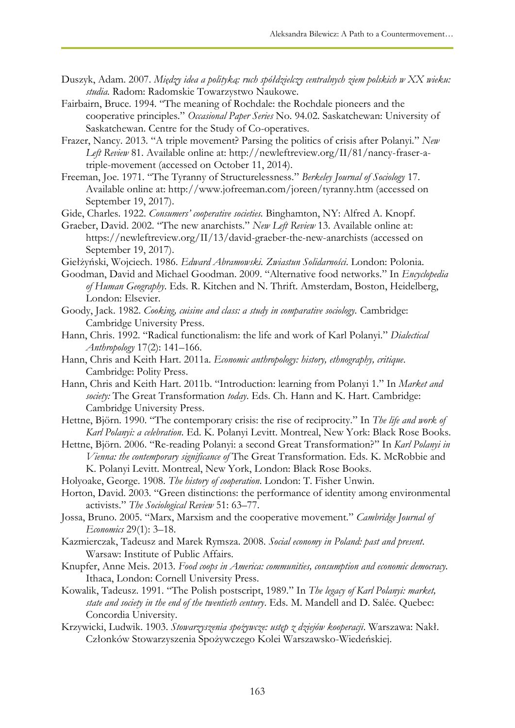- Duszyk, Adam. 2007. *Między idea a polityką: ruch spółdzielczy centralnych ziem polskich w XX wieku: studia.* Radom: Radomskie Towarzystwo Naukowe.
- Fairbairn, Bruce. 1994. "The meaning of Rochdale: the Rochdale pioneers and the cooperative principles." *Occasional Paper Series* No. 94.02. Saskatchewan: University of Saskatchewan. Centre for the Study of Co-operatives.
- Frazer, Nancy. 2013. "A triple movement? Parsing the politics of crisis after Polanyi." *New Left Review* 81. Available online at: http://newleftreview.org/II/81/nancy-fraser-atriple-movement (accessed on October 11, 2014).
- Freeman, Joe. 1971. "The Tyranny of Structurelessness." *Berkeley Journal of Sociology* 17. Available online at: http://www.jofreeman.com/joreen/tyranny.htm (accessed on September 19, 2017).
- Gide, Charles. 1922. *Consumers' cooperative societies.* Binghamton, NY: Alfred A. Knopf.
- Graeber, David. 2002. "The new anarchists." *New Left Review* 13. Available online at: https://newleftreview.org/II/13/david-graeber-the-new-anarchists (accessed on September 19, 2017).
- Giełżyński, Wojciech. 1986. *Edward Abramowski. Zwiastun Solidarności*. London: Polonia.
- Goodman, David and Michael Goodman. 2009. "Alternative food networks." In *Encyclopedia of Human Geography*. Eds. R. Kitchen and N. Thrift. Amsterdam, Boston, Heidelberg, London: Elsevier.
- Goody, Jack. 1982. *Cooking, cuisine and class: a study in comparative sociology.* Cambridge: Cambridge University Press.
- Hann, Chris. 1992. "Radical functionalism: the life and work of Karl Polanyi." *Dialectical Anthropology* 17(2): 141–166.
- Hann, Chris and Keith Hart. 2011a. *Economic anthropology: history, ethnography, critique*. Cambridge: Polity Press.
- Hann, Chris and Keith Hart. 2011b. "Introduction: learning from Polanyi 1." In *Market and society:* The Great Transformation *today*. Eds. Ch. Hann and K. Hart. Cambridge: Cambridge University Press.
- Hettne, Björn. 1990. "The contemporary crisis: the rise of reciprocity." In *The life and work of Karl Polanyi: a celebration*. Ed. K. Polanyi Levitt. Montreal, New York: Black Rose Books.
- Hettne, Björn. 2006. "Re-reading Polanyi: a second Great Transformation?" In *Karl Polanyi in Vienna: the contemporary significance of* The Great Transformation. Eds. K. McRobbie and K. Polanyi Levitt. Montreal, New York, London: Black Rose Books.
- Holyoake, George. 1908. *The history of cooperation*. London: T. Fisher Unwin.
- Horton, David. 2003. "Green distinctions: the performance of identity among environmental activists." *The Sociological Review* 51: 63–77.
- Jossa, Bruno. 2005. "Marx, Marxism and the cooperative movement." *Cambridge Journal of Economics* 29(1): 3–18.
- Kazmierczak, Tadeusz and Marek Rymsza. 2008. *Social economy in Poland: past and present*. Warsaw: Institute of Public Affairs.
- Knupfer, Anne Meis. 2013. *Food coops in America: communities, consumption and economic democracy.* Ithaca, London: Cornell University Press.
- Kowalik, Tadeusz. 1991. "The Polish postscript, 1989." In *The legacy of Karl Polanyi: market, state and society in the end of the twentieth century*. Eds. M. Mandell and D. Salée. Quebec: Concordia University.
- Krzywicki, Ludwik. 1903. *Stowarzyszenia spożywcze: ustęp z dziejów kooperacji*. Warszawa: Nakł. Członków Stowarzyszenia Spożywczego Kolei Warszawsko-Wiedeńskiej.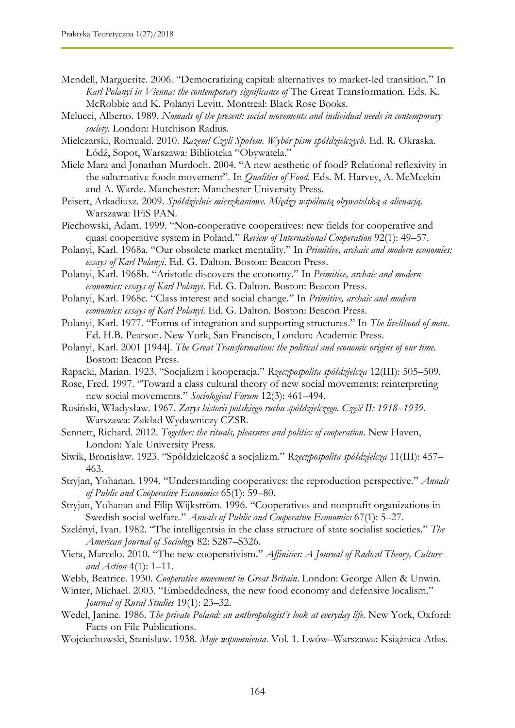- Mendell, Marguerite. 2006. "Democratizing capital: alternatives to market-led transition." In *Karl Polanyi in Vienna: the contemporary significance of* The Great Transformation. Eds. K. McRobbie and K. Polanyi Levitt. Montreal: Black Rose Books.
- Melucci, Alberto. 1989. *Nomads of the present: social movements and individual needs in contemporary society.* London: Hutchison Radius.
- Mielczarski, Romuald. 2010. *Razem! Czyli Społem. Wybór pism spółdzielczych*. Ed. R. Okraska. Łódź, Sopot, Warszawa: Biblioteka "Obywatela."
- Miele Mara and Jonathan Murdoch. 2004. "A new aesthetic of food? Relational reflexivity in the »alternative food« movement". In *Qualities of Food.* Eds. M. Harvey, A. McMeekin and A. Warde. Manchester: Manchester University Press.
- Peisert, Arkadiusz. 2009. *Spółdzielnie mieszkaniowe. Między wspólnotą obywatelską a alienacją.* Warszawa: IFiS PAN.
- Piechowski, Adam. 1999. "Non-cooperative cooperatives: new fields for cooperative and quasi cooperative system in Poland*.*" *Review of International Cooperation* 92(1): 49–57.
- Polanyi, Karl. 1968a. "Our obsolete market mentality." In *Primitive, archaic and modern economies: essays of Karl Polanyi*. Ed. G. Dalton. Boston: Beacon Press.
- Polanyi, Karl. 1968b. "Aristotle discovers the economy." In *Primitive, archaic and modern economies: essays of Karl Polanyi*. Ed. G. Dalton. Boston: Beacon Press.
- Polanyi, Karl. 1968c. "Class interest and social change." In *Primitive, archaic and modern economies: essays of Karl Polanyi*. Ed. G. Dalton. Boston: Beacon Press.
- Polanyi, Karl. 1977. "Forms of integration and supporting structures." In *The livelihood of man*. Ed. H.B. Pearson. New York, San Francisco, London: Academic Press.
- Polanyi, Karl. 2001 [1944]. *The Great Transformation: the political and economic origins of our time.* Boston: Beacon Press.
- Rapacki, Marian. 1923. "Socjalizm i kooperacja." *Rzeczpospolita spółdzielcza* 12(III): 505–509.
- Rose, Fred. 1997. "Toward a class cultural theory of new social movements: reinterpreting new social movements." *Sociological Forum* 12(3): 461–494.
- Rusiński, Władysław. 1967. *Zarys historii polskiego ruchu spółdzielczego. Część II: 1918–1939.* Warszawa: Zakład Wydawniczy CZSR.
- Sennett, Richard. 2012. *Together: the rituals, pleasures and politics of cooperation*. New Haven, London: Yale University Press.
- Siwik, Bronisław. 1923. "Spółdzielczość a socjalizm." *Rzeczpospolita spółdzielcza* 11(III): 457– 463.
- Stryjan, Yohanan. 1994. "Understanding cooperatives: the reproduction perspective." *Annals of Public and Cooperative Economics* 65(1): 59–80.
- Stryjan, Yohanan and Filip Wijkström. 1996. "Cooperatives and nonprofit organizations in Swedish social welfare." *Annals of Public and Cooperative Economics* 67(1): 5–27.
- Szelényi, Ivan. 1982. "The intelligentsia in the class structure of state socialist societies." *The American Journal of Sociology* 82: S287–S326.
- Vieta, Marcelo. 2010. "The new cooperativism." *Affinities: A Journal of Radical Theory, Culture and Action* 4(1): 1–11.
- Webb, Beatrice. 1930. *Cooperative movement in Great Britain*. London: George Allen & Unwin.
- Winter, Michael. 2003. "Embeddedness, the new food economy and defensive localism." *Journal of Rural Studies* 19(1): 23–32.
- Wedel, Janine. 1986. *The private Poland: an anthropologist's look at everyday life*. New York, Oxford: Facts on File Publications.
- Wojciechowski, Stanisław. 1938. *Moje wspomnienia*. Vol. 1. Lwów–Warszawa: Książnica-Atlas.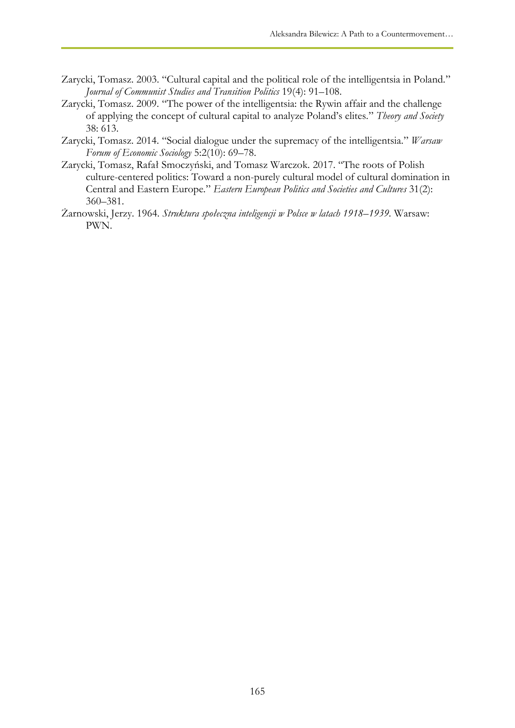- Zarycki, Tomasz. 2003. "Cultural capital and the political role of the intelligentsia in Poland." *Journal of Communist Studies and Transition Politics* 19(4): 91–108.
- Zarycki, Tomasz. 2009. "The power of the intelligentsia: the Rywin affair and the challenge of applying the concept of cultural capital to analyze Poland"s elites." *Theory and Society*  38: 613.
- Zarycki, Tomasz. 2014. "Social dialogue under the supremacy of the intelligentsia." *Warsaw Forum of Economic Sociology* 5:2(10): 69–78.
- Zarycki, Tomasz, Rafał Smoczyński, and Tomasz Warczok. 2017. "The roots of Polish culture-centered politics: Toward a non-purely cultural model of cultural domination in Central and Eastern Europe." *Eastern European Politics and Societies and Cultures* 31(2): 360–381.
- Żarnowski, Jerzy. 1964. *Struktura społeczna inteligencji w Polsce w latach 1918–1939.* Warsaw: PWN.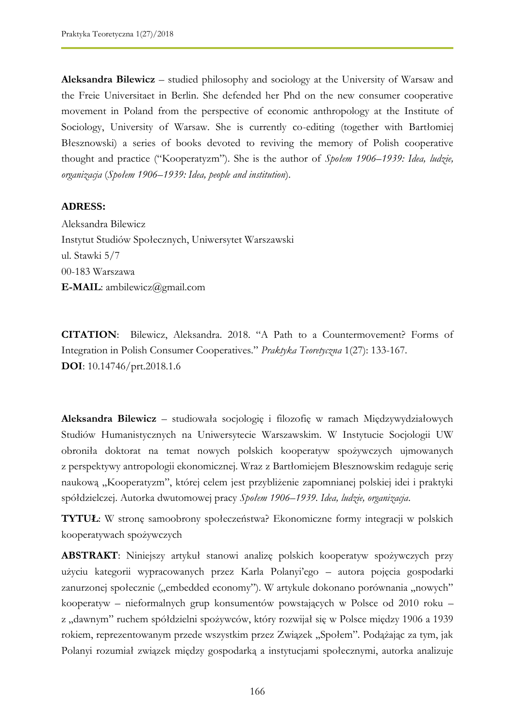**Aleksandra Bilewicz** – studied philosophy and sociology at the University of Warsaw and the Freie Universitaet in Berlin. She defended her Phd on the new consumer cooperative movement in Poland from the perspective of economic anthropology at the Institute of Sociology, University of Warsaw. She is currently co-editing (together with Bartłomiej Błesznowski) a series of books devoted to reviving the memory of Polish cooperative thought and practice ("Kooperatyzm"). She is the author of *Społem 1906–1939: Idea, ludzie, organizacja* (*Społem 1906–1939: Idea, people and institution*).

#### **ADRESS:**

Aleksandra Bilewicz Instytut Studiów Społecznych, Uniwersytet Warszawski ul. Stawki 5/7 00-183 Warszawa **E-MAIL**: ambilewicz@gmail.com

**CITATION**: Bilewicz, Aleksandra. 2018. "A Path to a Countermovement? Forms of Integration in Polish Consumer Cooperatives." *Praktyka Teoretyczna* 1(27): 133-167. **DOI**: 10.14746/prt.2018.1.6

**Aleksandra Bilewicz** – studiowała socjologię i filozofię w ramach Międzywydziałowych Studiów Humanistycznych na Uniwersytecie Warszawskim. W Instytucie Socjologii UW obroniła doktorat na temat nowych polskich kooperatyw spożywczych ujmowanych z perspektywy antropologii ekonomicznej. Wraz z Bartłomiejem Błesznowskim redaguje serię naukową "Kooperatyzm", której celem jest przybliżenie zapomnianej polskiej idei i praktyki spółdzielczej. Autorka dwutomowej pracy *Społem 1906–1939. Idea, ludzie, organizacja*.

**TYTUŁ**: W stronę samoobrony społeczeństwa? Ekonomiczne formy integracji w polskich kooperatywach spożywczych

**ABSTRAKT**: Niniejszy artykuł stanowi analizę polskich kooperatyw spożywczych przy użyciu kategorii wypracowanych przez Karla Polanyi"ego – autora pojęcia gospodarki zanurzonej społecznie ("embedded economy"). W artykule dokonano porównania "nowych" kooperatyw – nieformalnych grup konsumentów powstających w Polsce od 2010 roku – z "dawnym" ruchem spółdzielni spożywców, który rozwijał się w Polsce między 1906 a 1939 rokiem, reprezentowanym przede wszystkim przez Związek "Społem". Podążając za tym, jak Polanyi rozumiał związek między gospodarką a instytucjami społecznymi, autorka analizuje